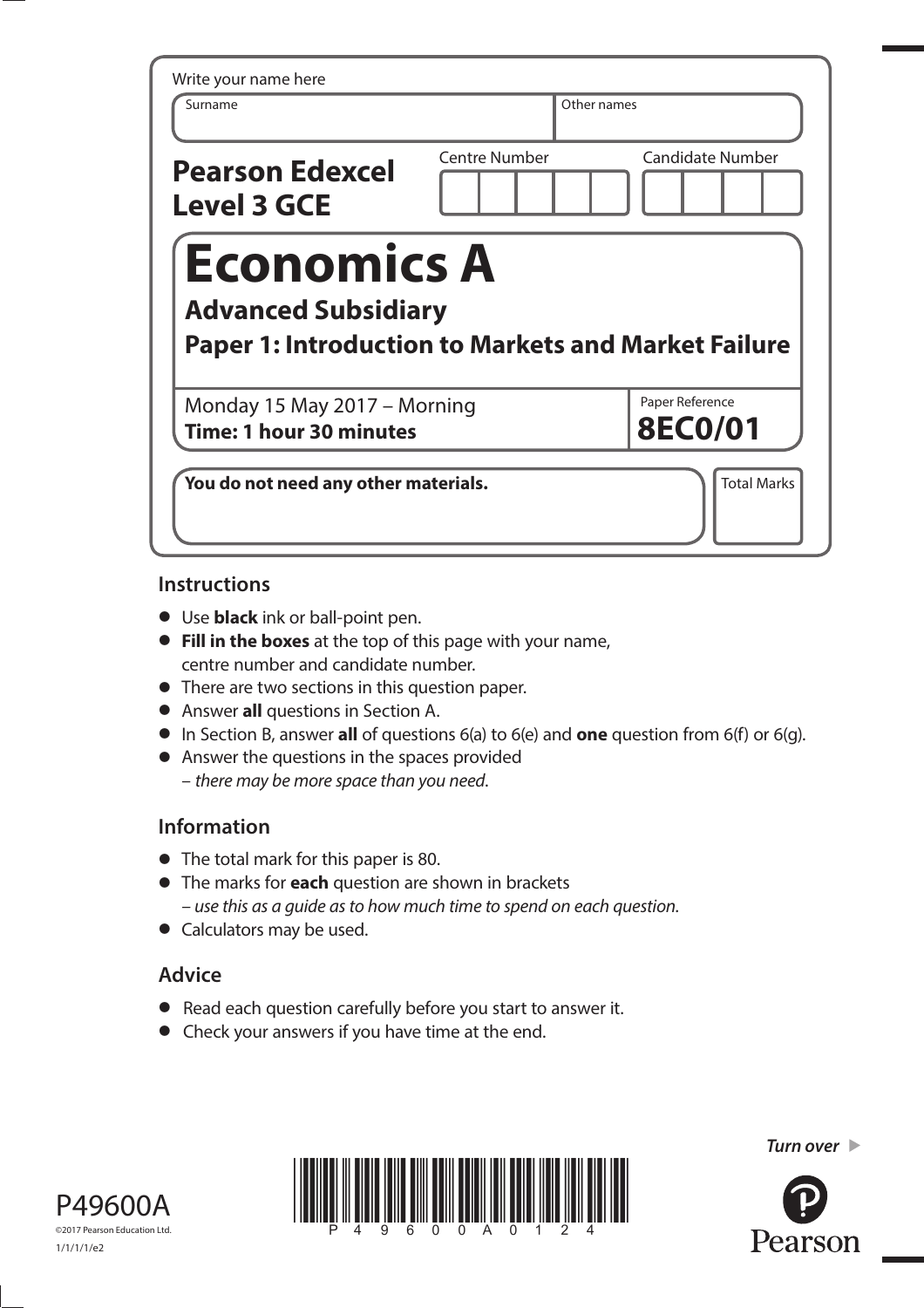| Surname                                                                                                        |                      | Other names             |
|----------------------------------------------------------------------------------------------------------------|----------------------|-------------------------|
| <b>Pearson Edexcel</b><br><b>Level 3 GCE</b>                                                                   | <b>Centre Number</b> | <b>Candidate Number</b> |
|                                                                                                                |                      |                         |
| <b>Economics A</b><br><b>Advanced Subsidiary</b><br><b>Paper 1: Introduction to Markets and Market Failure</b> |                      |                         |

### **Instructions**

- **•** Use **black** ink or ball-point pen.
- **• Fill in the boxes** at the top of this page with your name, centre number and candidate number.
- **•** There are two sections in this question paper.
- **•** Answer **all** questions in Section A.
- **•** In Section B, answer **all** of questions 6(a) to 6(e) and **one** question from 6(f) or 6(g).
- In Section B, answer **all** of questions 6(a) to 6(<br>• Answer the questions in the spaces provided – there may be more space than you need.

# **Information**

- **•** The total mark for this paper is 80.
- **•** The marks for **each** question are shown in brackets – use this as a guide as to how much time to spend on each question.
- **•** Calculators may be used.

# **Advice**

- **•** Read each question carefully before you start to answer it.
- Read each question carefully before you start to<br>• Check your answers if you have time at the end.







**Turn over Turn over**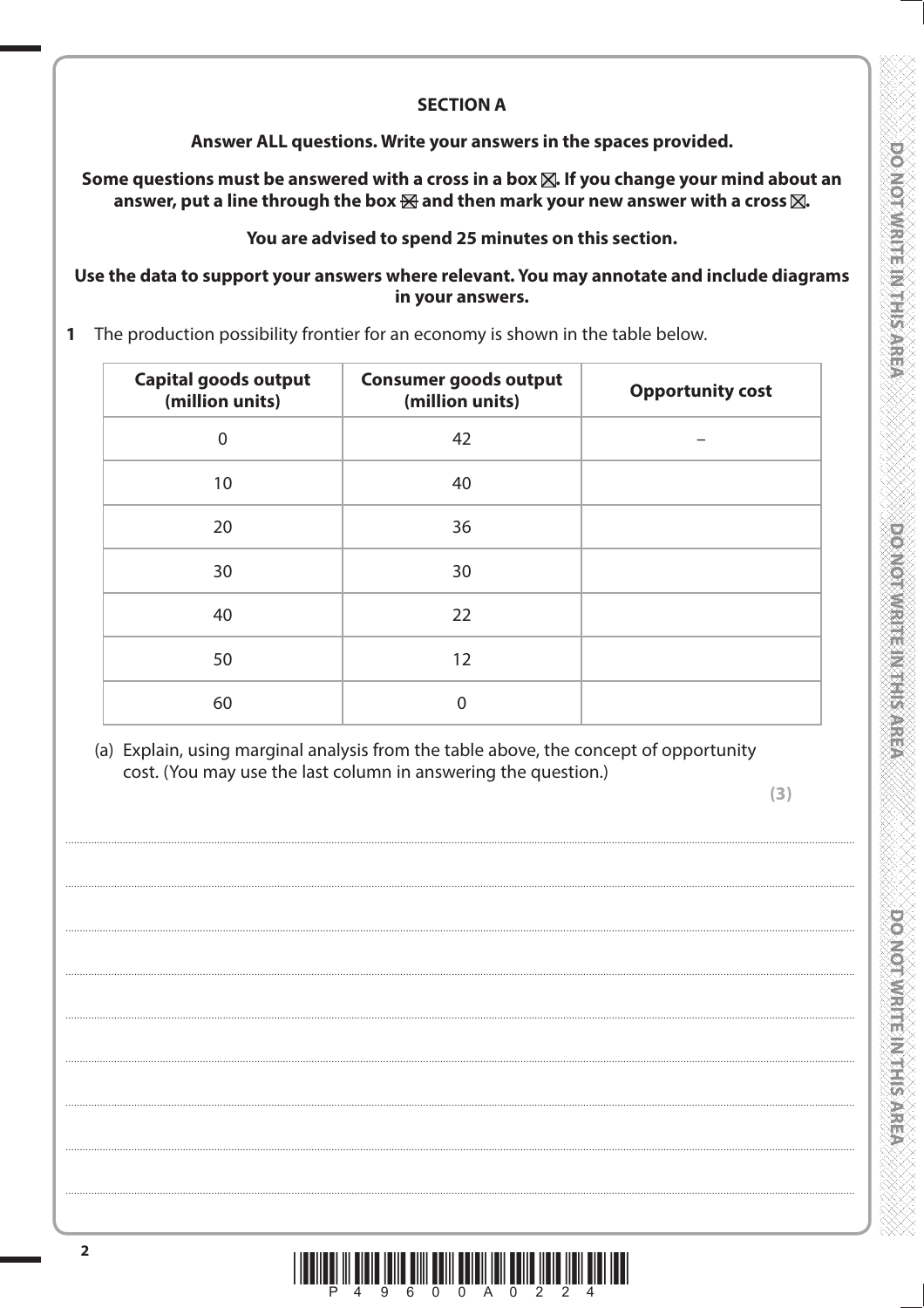## **SECTION A**

### Answer ALL questions. Write your answers in the spaces provided.

Some questions must be answered with a cross in a box  $\boxtimes$ . If you change your mind about an answer, put a line through the box  $\boxtimes$  and then mark your new answer with a cross  $\boxtimes$ .

### You are advised to spend 25 minutes on this section.

Use the data to support your answers where relevant. You may annotate and include diagrams in your answers.

The production possibility frontier for an economy is shown in the table below.  $\mathbf{1}$ 

| Capital goods output<br>(million units) | <b>Consumer goods output</b><br>(million units) | <b>Opportunity cost</b> |
|-----------------------------------------|-------------------------------------------------|-------------------------|
| $\mathbf 0$                             | 42                                              |                         |
| 10                                      | 40                                              |                         |
| 20                                      | 36                                              |                         |
| 30                                      | 30                                              |                         |
| 40                                      | 22                                              |                         |
| 50                                      | 12                                              |                         |
| 60                                      | $\overline{0}$                                  |                         |

(a) Explain, using marginal analysis from the table above, the concept of opportunity cost. (You may use the last column in answering the question.)

**DONOTWRITER NEWSPARE DO NOTOWRITE IN STREET** 

**DOMOTAWRITENT HARRY STREET** 

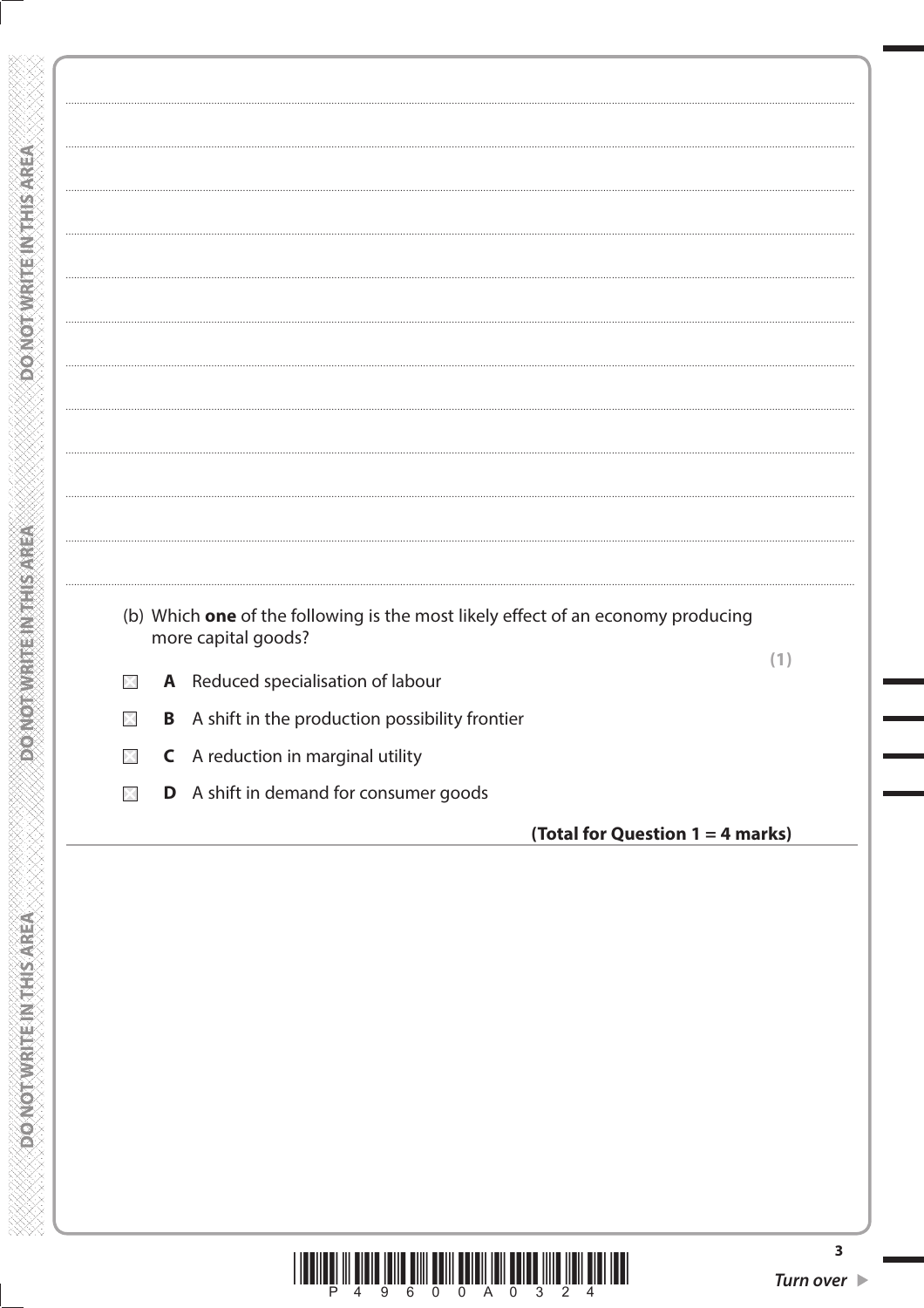|             |   | (b) Which one of the following is the most likely effect of an economy producing<br>more capital goods? |     |
|-------------|---|---------------------------------------------------------------------------------------------------------|-----|
|             |   |                                                                                                         | (1) |
|             |   | A Reduced specialisation of labour                                                                      |     |
|             |   | <b>B</b> A shift in the production possibility frontier                                                 |     |
| $\times$    | C | A reduction in marginal utility                                                                         |     |
| $\boxtimes$ | D | A shift in demand for consumer goods                                                                    |     |
|             |   | (Total for Question 1 = 4 marks)                                                                        |     |
|             |   |                                                                                                         |     |
|             |   |                                                                                                         |     |
|             |   |                                                                                                         |     |
|             |   |                                                                                                         |     |
|             |   |                                                                                                         |     |



 $\overline{\mathbf{3}}$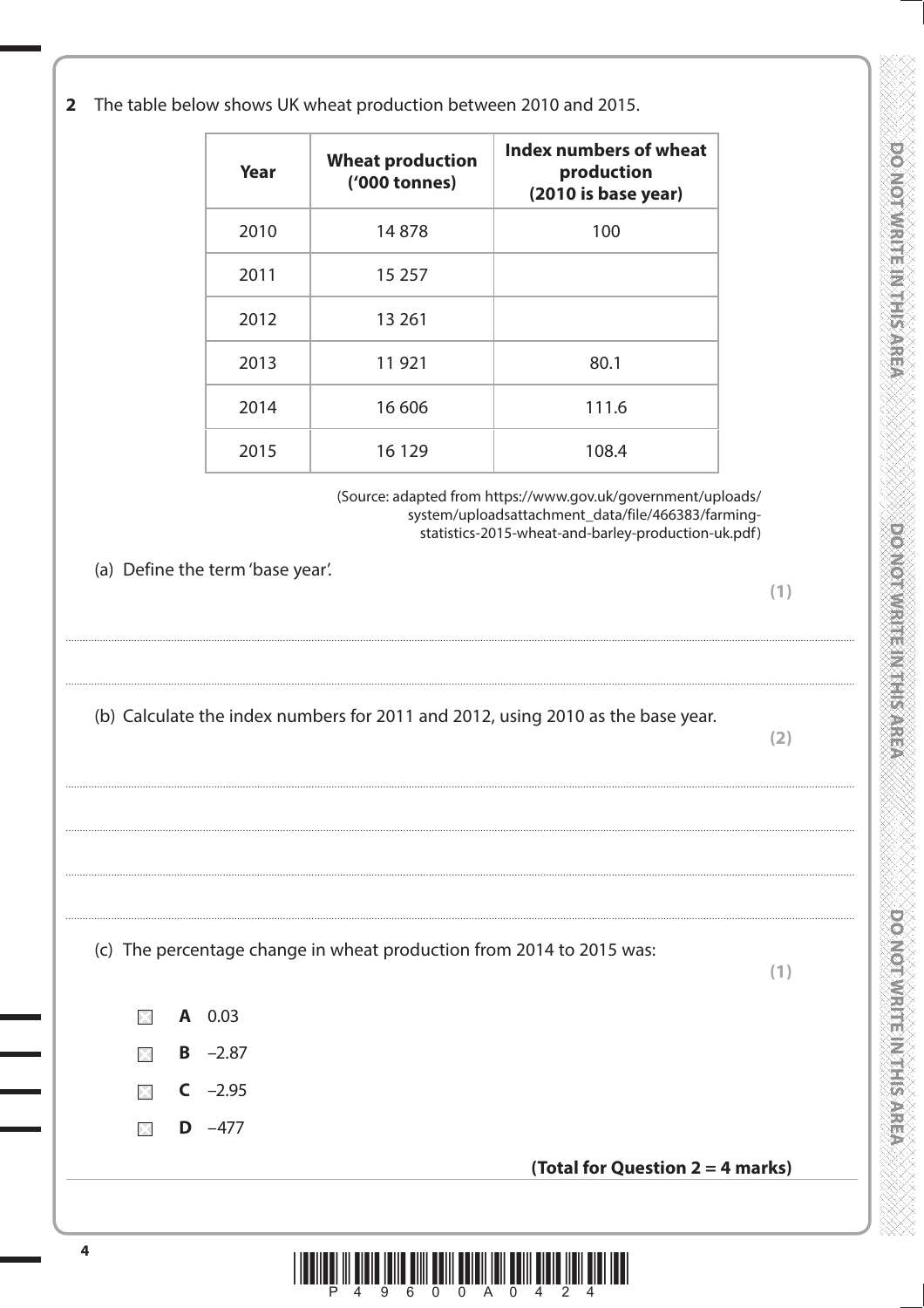|                                | Year                             | <b>Wheat production</b><br>('000 tonnes)                             | Index numbers of wheat<br>production<br>(2010 is base year)                                                                                                               |     |
|--------------------------------|----------------------------------|----------------------------------------------------------------------|---------------------------------------------------------------------------------------------------------------------------------------------------------------------------|-----|
|                                | 2010                             | 14878                                                                | 100                                                                                                                                                                       |     |
|                                | 2011                             | 15 257                                                               |                                                                                                                                                                           |     |
|                                | 2012                             | 13 261                                                               |                                                                                                                                                                           |     |
|                                | 2013                             | 11921                                                                | 80.1                                                                                                                                                                      |     |
|                                | 2014                             | 16 60 6                                                              | 111.6                                                                                                                                                                     |     |
|                                | 2015                             | 16 1 29                                                              | 108.4                                                                                                                                                                     |     |
|                                |                                  |                                                                      | (Source: adapted from https://www.gov.uk/government/uploads/<br>system/uploadsattachment_data/file/466383/farming-<br>statistics-2015-wheat-and-barley-production-uk.pdf) |     |
|                                | (a) Define the term 'base year'. |                                                                      |                                                                                                                                                                           | (1) |
|                                |                                  |                                                                      |                                                                                                                                                                           |     |
|                                |                                  |                                                                      | (b) Calculate the index numbers for 2011 and 2012, using 2010 as the base year.                                                                                           | (2) |
|                                |                                  | (c) The percentage change in wheat production from 2014 to 2015 was: |                                                                                                                                                                           | (1) |
|                                | A 0.03<br>$B -2.87$              |                                                                      |                                                                                                                                                                           |     |
| $\times$                       | $C -2.95$                        |                                                                      |                                                                                                                                                                           |     |
| $>\left\vert \cdot\right\vert$ | $D -477$                         |                                                                      |                                                                                                                                                                           |     |

K<br>K

DO NOT WRITE IN THIS AREA

**PONOTMERING HEART AREA** 

XXXXXXX

DO NOT WRITE IN THIS AREA

e<br>Santa di Santa di Santa di Santa di Santa di Santa di Santa di Santa di Santa di Santa di Santa di Santa di S

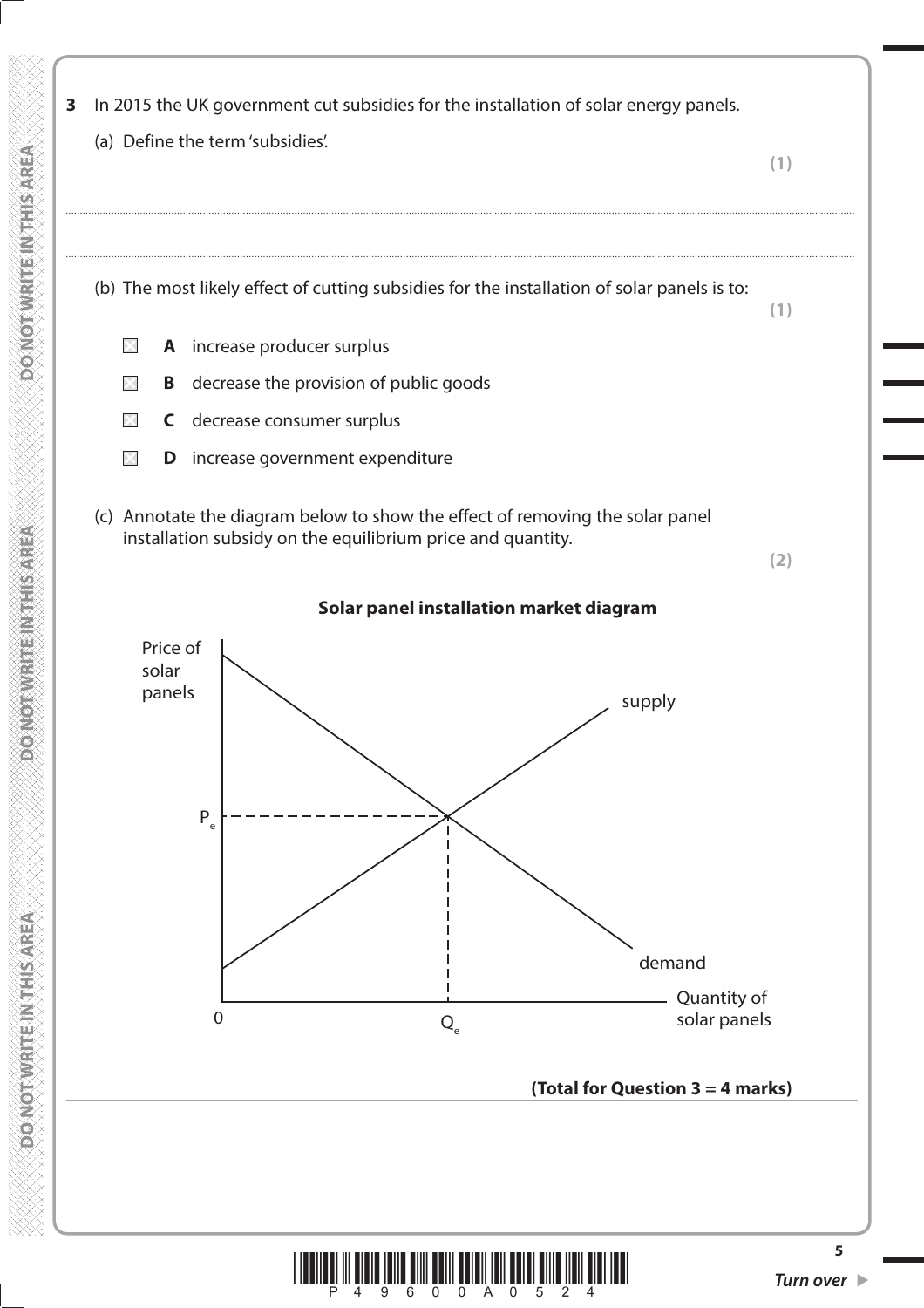**3** In 2015 the UK government cut subsidies for the installation of solar energy panels. (a) Define the term 'subsidies'. **(1)** .................................................................................................................................................................................................................................................................................... .................................................................................................................................................................................................................................................................................... (b) The most likely effect of cutting subsidies for the installation of solar panels is to: **(1)**  $\times$ **A** increase producer surplus  $\boxtimes$ **B** decrease the provision of public goods  $\boxtimes$ **C** decrease consumer surplus **D** increase government expenditure  $\times$  (c) Annotate the diagram below to show the effect of removing the solar panel installation subsidy on the equilibrium price and quantity. **(2) Solar panel installation market diagram** Price of solar panels supply  $P_e$ demand Quantity of  $\Omega$  $Q_{\rho}$ solar panels **(Total for Question 3 = 4 marks)5**

**DO WOT WRITEIN THIS AREA** 

**DONOT WRIGHT METALS AREA** 

**DO NOTARRITE IN THIS AREA** 

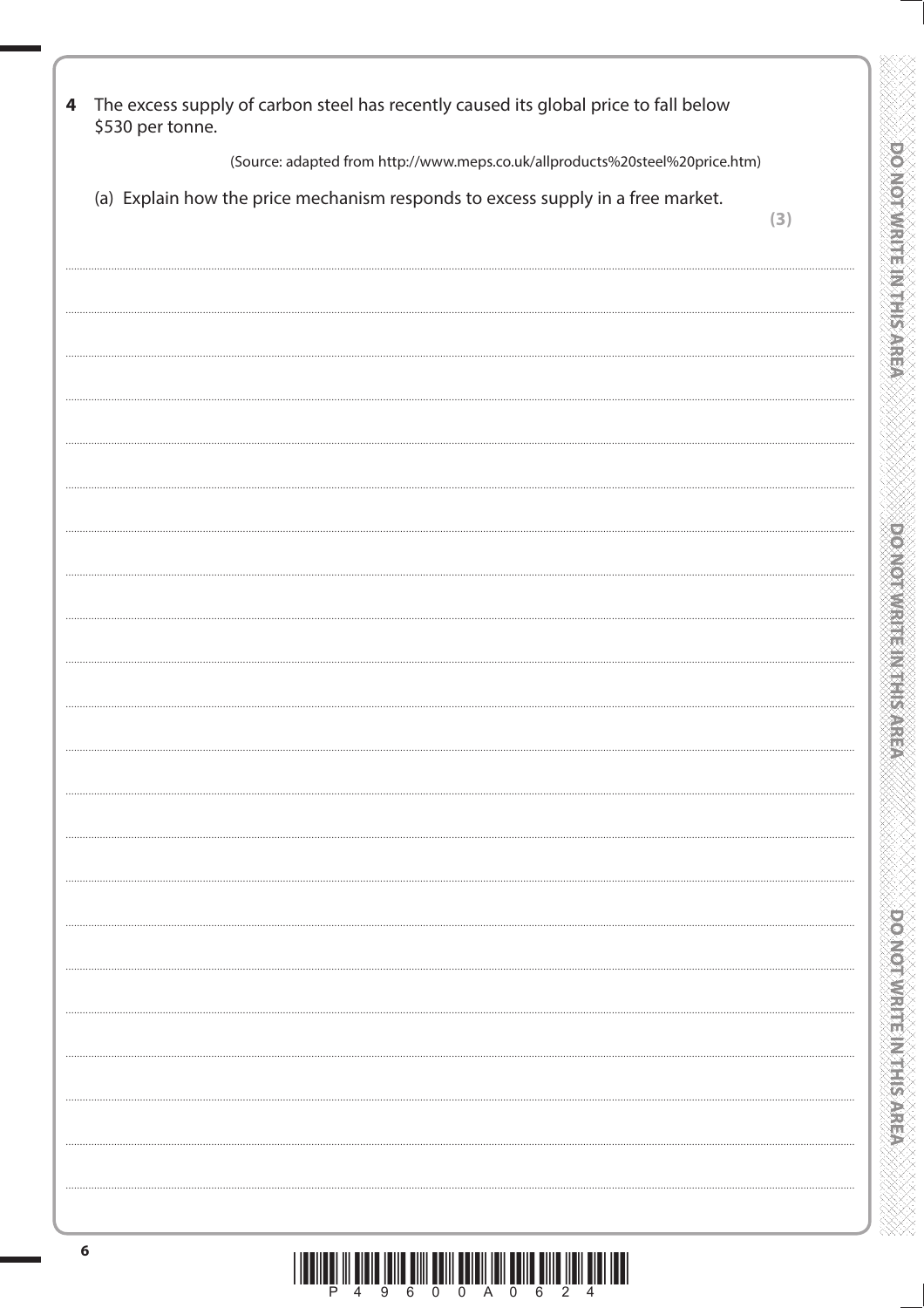| The excess supply of carbon steel has recently caused its global price to fall below   |  |
|----------------------------------------------------------------------------------------|--|
| \$530 per tonne.                                                                       |  |
| (Source: adapted from http://www.meps.co.uk/allproducts%20steel%20price.htm)           |  |
| (a) Explain how the price mechanism responds to excess supply in a free market.<br>(3) |  |
|                                                                                        |  |
|                                                                                        |  |
|                                                                                        |  |
|                                                                                        |  |
|                                                                                        |  |
|                                                                                        |  |
|                                                                                        |  |
|                                                                                        |  |
|                                                                                        |  |
|                                                                                        |  |
|                                                                                        |  |
|                                                                                        |  |
|                                                                                        |  |
|                                                                                        |  |
|                                                                                        |  |
|                                                                                        |  |
|                                                                                        |  |
|                                                                                        |  |
|                                                                                        |  |
|                                                                                        |  |
|                                                                                        |  |
|                                                                                        |  |
|                                                                                        |  |
|                                                                                        |  |
|                                                                                        |  |
|                                                                                        |  |
|                                                                                        |  |
|                                                                                        |  |
|                                                                                        |  |
|                                                                                        |  |
|                                                                                        |  |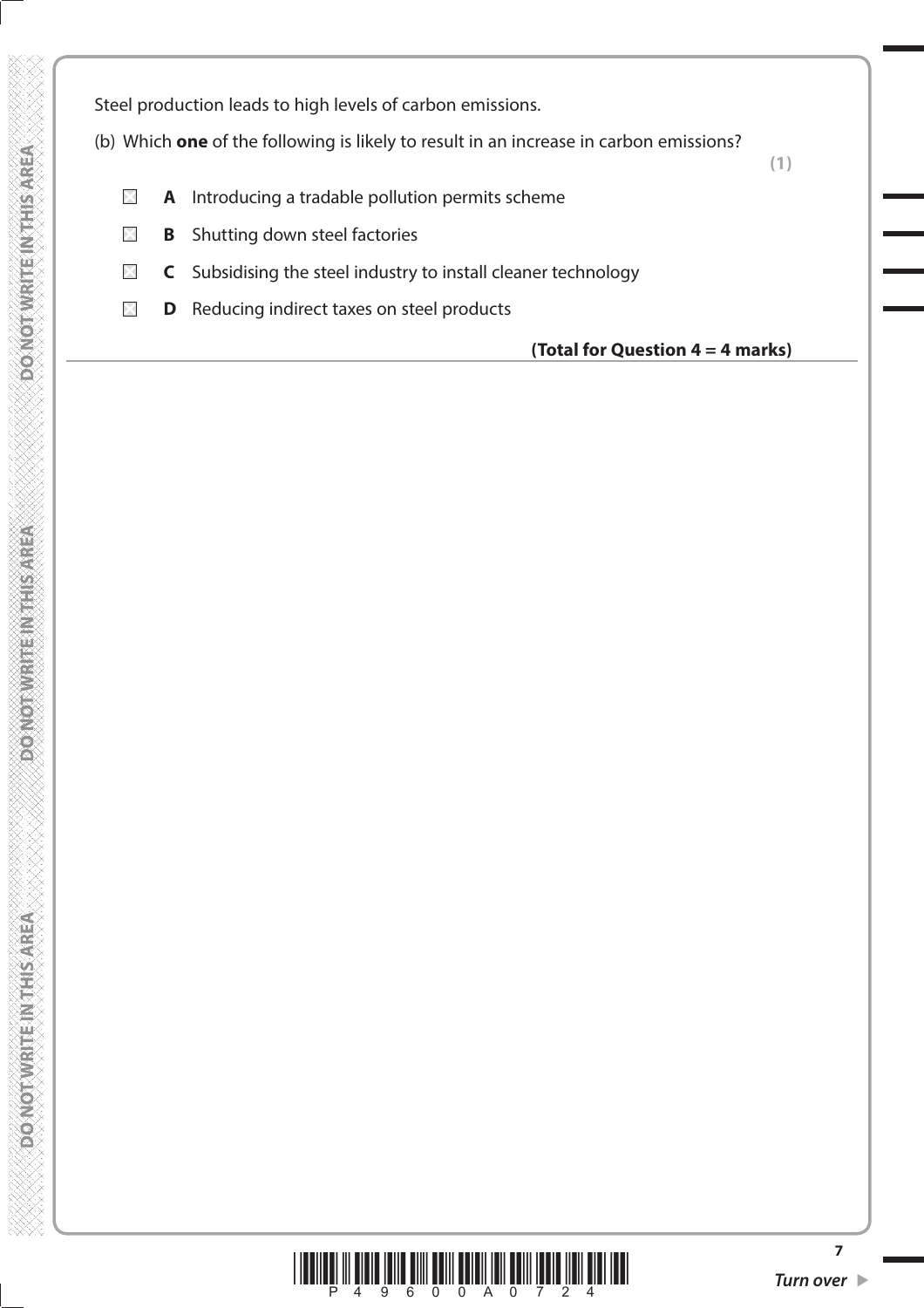Steel production leads to high levels of carbon emissions.

- (b) Which **one** of the following is likely to result in an increase in carbon emissions?
	-

**(1)**

- **A** Introducing a tradable pollution permits scheme  $\boxtimes$
- $\boxtimes$ **B** Shutting down steel factories

**DO NOT WRITEIN THIS AREA** 

**DO NOT WRITE IN THIS AREA** 

**DO NOT WRITEIN THIS AREA** 

- **C** Subsidising the steel industry to install cleaner technology  $\boxtimes$
- $\boxtimes$ **D** Reducing indirect taxes on steel products

# **(Total for Question 4 = 4 marks)**

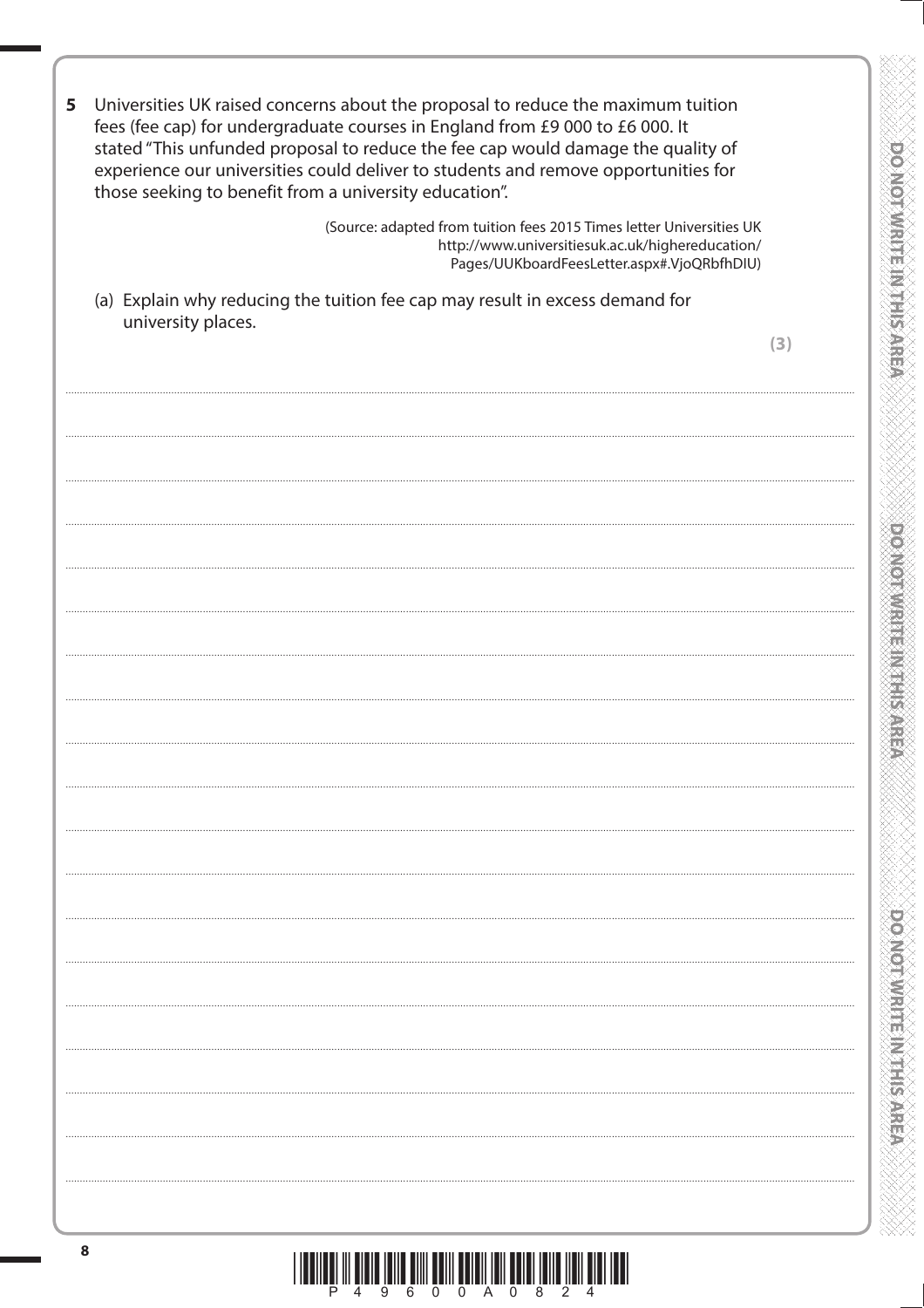| fees (fee cap) for undergraduate courses in England from £9 000 to £6 000. It<br>stated "This unfunded proposal to reduce the fee cap would damage the quality of<br>experience our universities could deliver to students and remove opportunities for<br>those seeking to benefit from a university education". |     |  |  |
|-------------------------------------------------------------------------------------------------------------------------------------------------------------------------------------------------------------------------------------------------------------------------------------------------------------------|-----|--|--|
| (Source: adapted from tuition fees 2015 Times letter Universities UK<br>http://www.universitiesuk.ac.uk/highereducation/<br>Pages/UUKboardFeesLetter.aspx#.VjoQRbfhDIU)                                                                                                                                           |     |  |  |
| (a) Explain why reducing the tuition fee cap may result in excess demand for<br>university places.                                                                                                                                                                                                                |     |  |  |
|                                                                                                                                                                                                                                                                                                                   | (3) |  |  |
|                                                                                                                                                                                                                                                                                                                   |     |  |  |
|                                                                                                                                                                                                                                                                                                                   |     |  |  |
|                                                                                                                                                                                                                                                                                                                   |     |  |  |
|                                                                                                                                                                                                                                                                                                                   |     |  |  |
|                                                                                                                                                                                                                                                                                                                   |     |  |  |
|                                                                                                                                                                                                                                                                                                                   |     |  |  |
|                                                                                                                                                                                                                                                                                                                   |     |  |  |
|                                                                                                                                                                                                                                                                                                                   |     |  |  |
|                                                                                                                                                                                                                                                                                                                   |     |  |  |
|                                                                                                                                                                                                                                                                                                                   |     |  |  |
|                                                                                                                                                                                                                                                                                                                   |     |  |  |
|                                                                                                                                                                                                                                                                                                                   |     |  |  |
|                                                                                                                                                                                                                                                                                                                   |     |  |  |
|                                                                                                                                                                                                                                                                                                                   |     |  |  |
|                                                                                                                                                                                                                                                                                                                   |     |  |  |
|                                                                                                                                                                                                                                                                                                                   |     |  |  |
|                                                                                                                                                                                                                                                                                                                   |     |  |  |
|                                                                                                                                                                                                                                                                                                                   |     |  |  |
|                                                                                                                                                                                                                                                                                                                   |     |  |  |
|                                                                                                                                                                                                                                                                                                                   |     |  |  |



I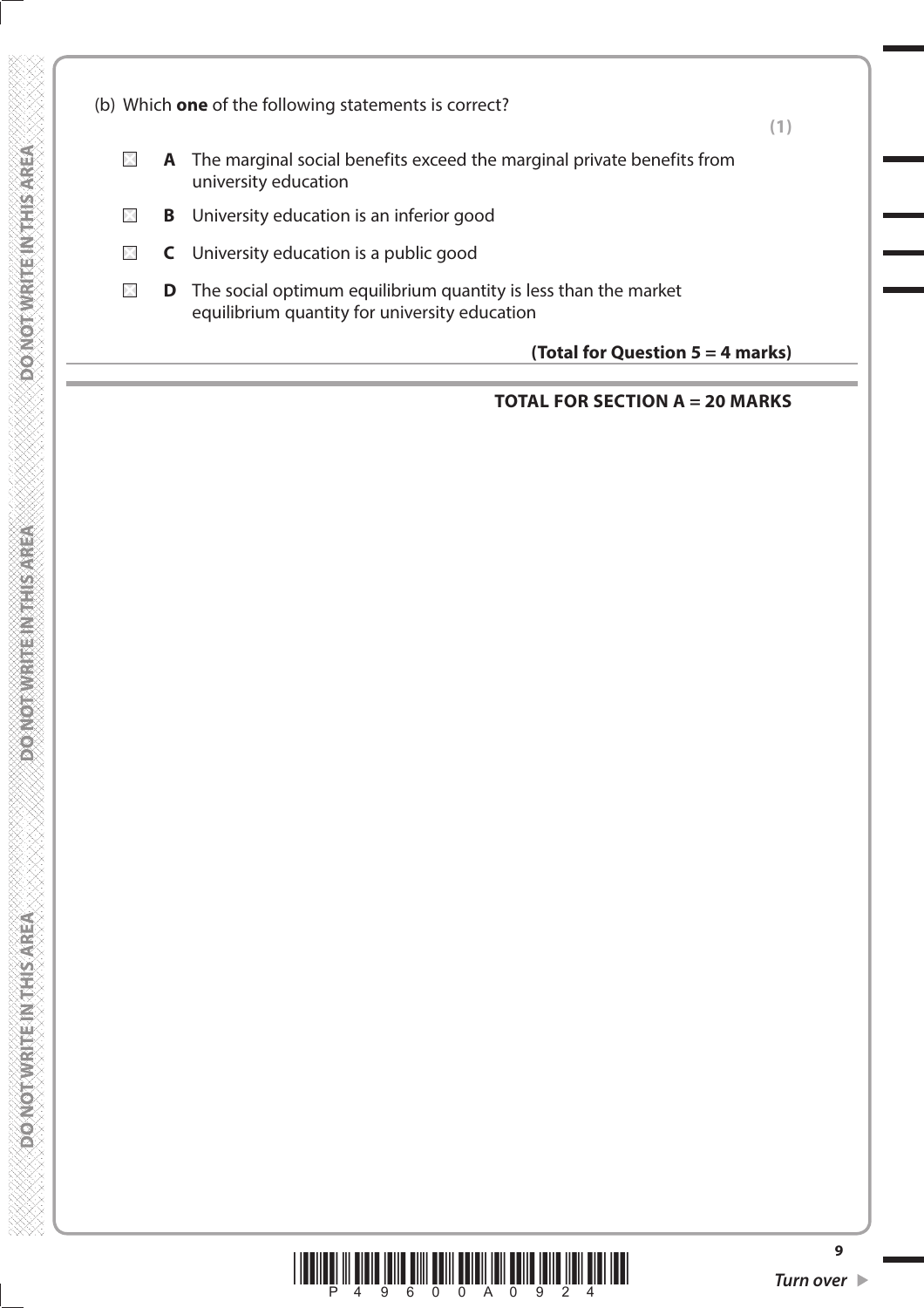

**DONOT WRITEINTHIS AREA** 

**DO NOT WRITEIN THIS AREA** 

### **TOTAL FOR SECTION A = 20 MARKS**

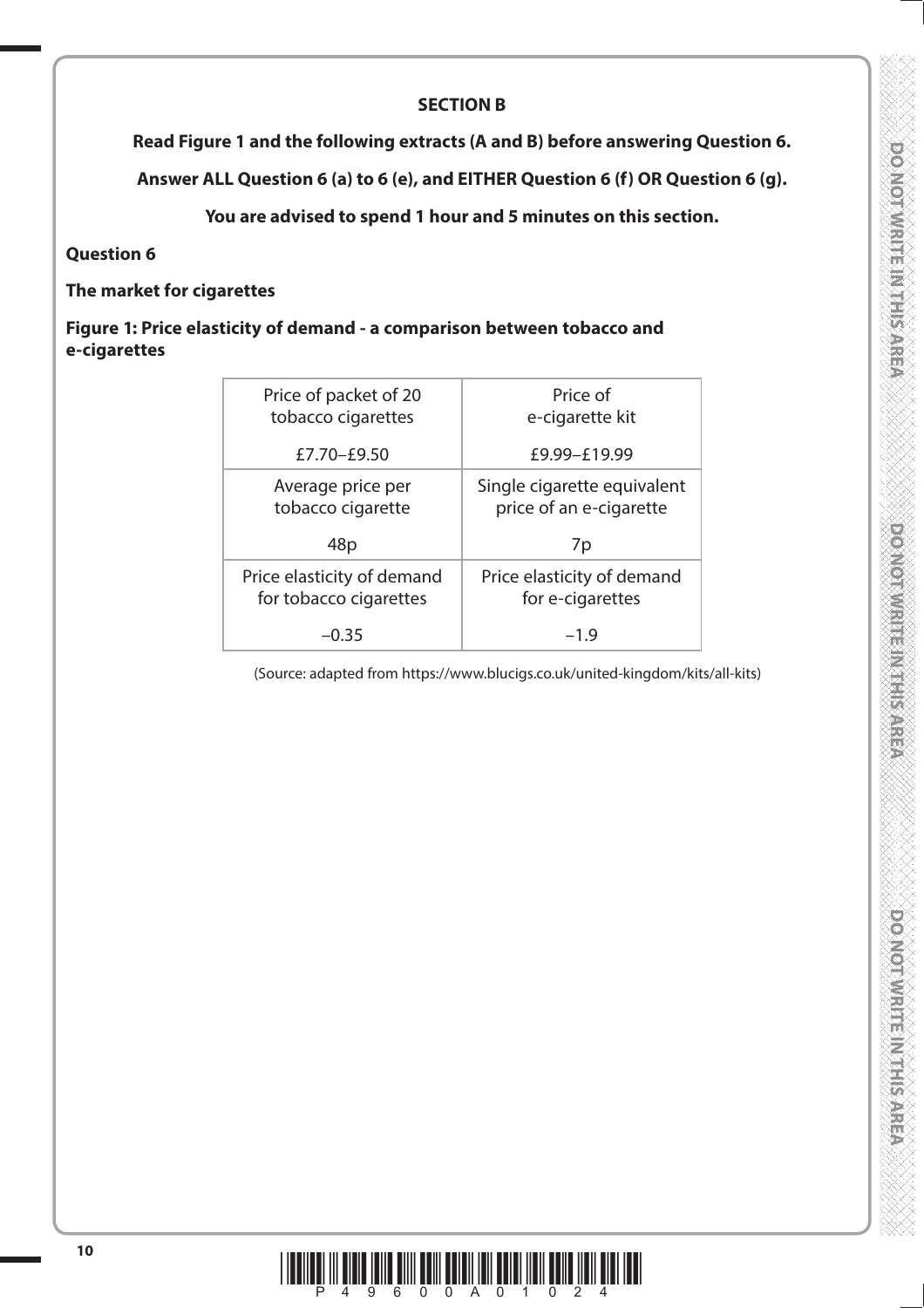## **SECTION B**

**Read Figure 1 and the following extracts (A and B) before answering Question 6.**

**Answer ALL Question 6 (a) to 6 (e), and EITHER Question 6 (f) OR Question 6 (g).** 

**You are advised to spend 1 hour and 5 minutes on this section.**

**DOVIOTALIST HAVE THE SALE** 

**DONOTHER MEETINGS** 

**DO NOTIVIES INTERESTED** 

### **Question 6**

### **The market for cigarettes**

**Figure 1: Price elasticity of demand - a comparison between tobacco and e-cigarettes**

| Price of packet of 20<br>tobacco cigarettes          | Price of<br>e-cigarette kit                            |
|------------------------------------------------------|--------------------------------------------------------|
| £7.70-£9.50                                          | £9.99-£19.99                                           |
| Average price per<br>tobacco cigarette               | Single cigarette equivalent<br>price of an e-cigarette |
| 48p                                                  | 7p                                                     |
| Price elasticity of demand<br>for tobacco cigarettes | Price elasticity of demand<br>for e-cigarettes         |
| -0.35                                                | -1.9                                                   |
|                                                      |                                                        |

(Source: adapted from https://www.blucigs.co.uk/united-kingdom/kits/all-kits)

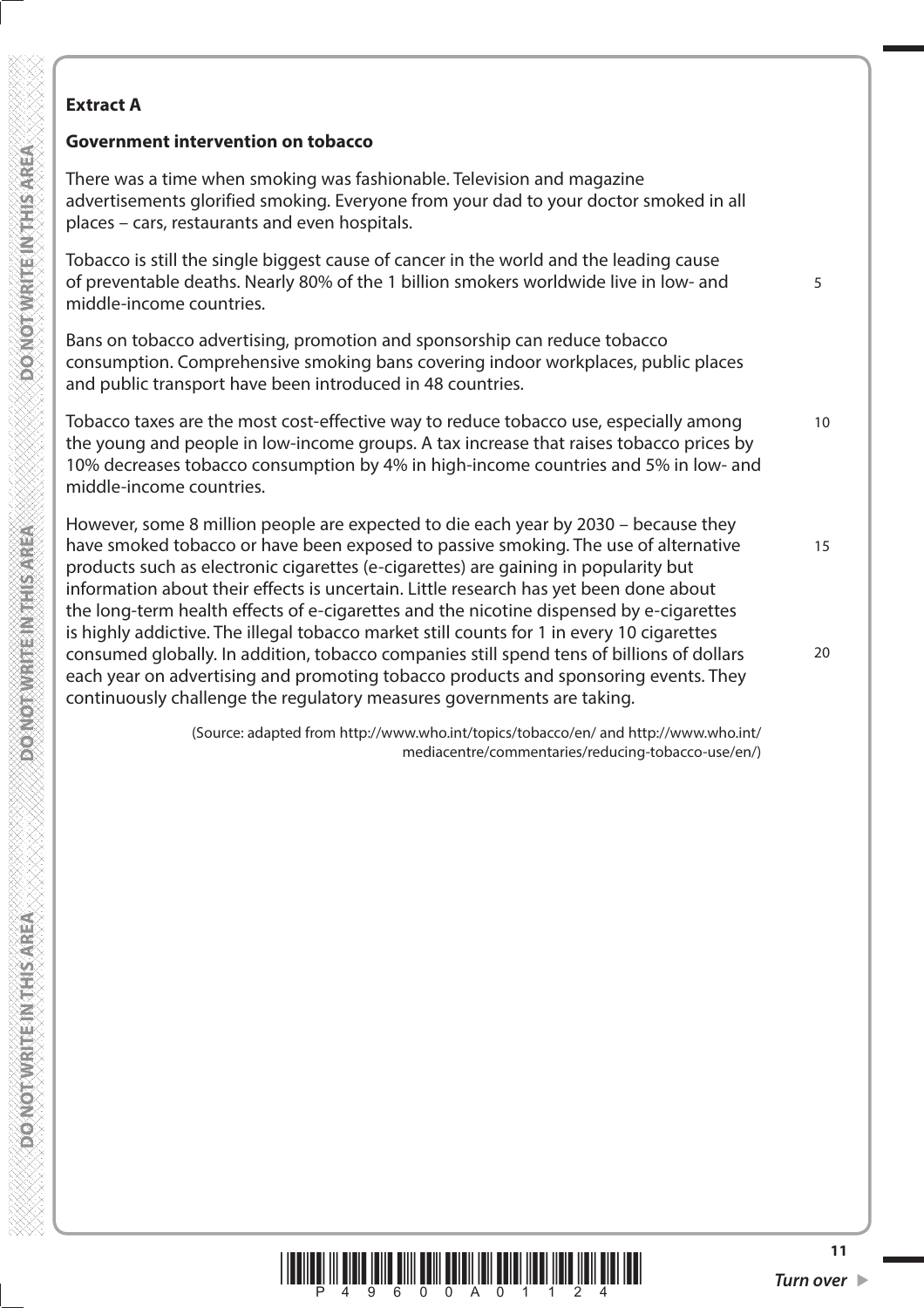# **Extract A**

## **Government intervention on tobacco**

There was a time when smoking was fashionable. Television and magazine advertisements glorified smoking. Everyone from your dad to your doctor smoked in all places – cars, restaurants and even hospitals.

Tobacco is still the single biggest cause of cancer in the world and the leading cause of preventable deaths. Nearly 80% of the 1 billion smokers worldwide live in low- and middle-income countries.

Bans on tobacco advertising, promotion and sponsorship can reduce tobacco consumption. Comprehensive smoking bans covering indoor workplaces, public places and public transport have been introduced in 48 countries.

Tobacco taxes are the most cost-effective way to reduce tobacco use, especially among the young and people in low-income groups. A tax increase that raises tobacco prices by 10% decreases tobacco consumption by 4% in high-income countries and 5% in low- and middle-income countries.

However, some 8 million people are expected to die each year by 2030 – because they have smoked tobacco or have been exposed to passive smoking. The use of alternative products such as electronic cigarettes (e-cigarettes) are gaining in popularity but information about their effects is uncertain. Little research has yet been done about the long-term health effects of e-cigarettes and the nicotine dispensed by e-cigarettes is highly addictive. The illegal tobacco market still counts for 1 in every 10 cigarettes consumed globally. In addition, tobacco companies still spend tens of billions of dollars each year on advertising and promoting tobacco products and sponsoring events. They continuously challenge the regulatory measures governments are taking.

> (Source: adapted from http://www.who.int/topics/tobacco/en/ and http://www.who.int/ mediacentre/commentaries/reducing-tobacco-use/en/)



5

10

15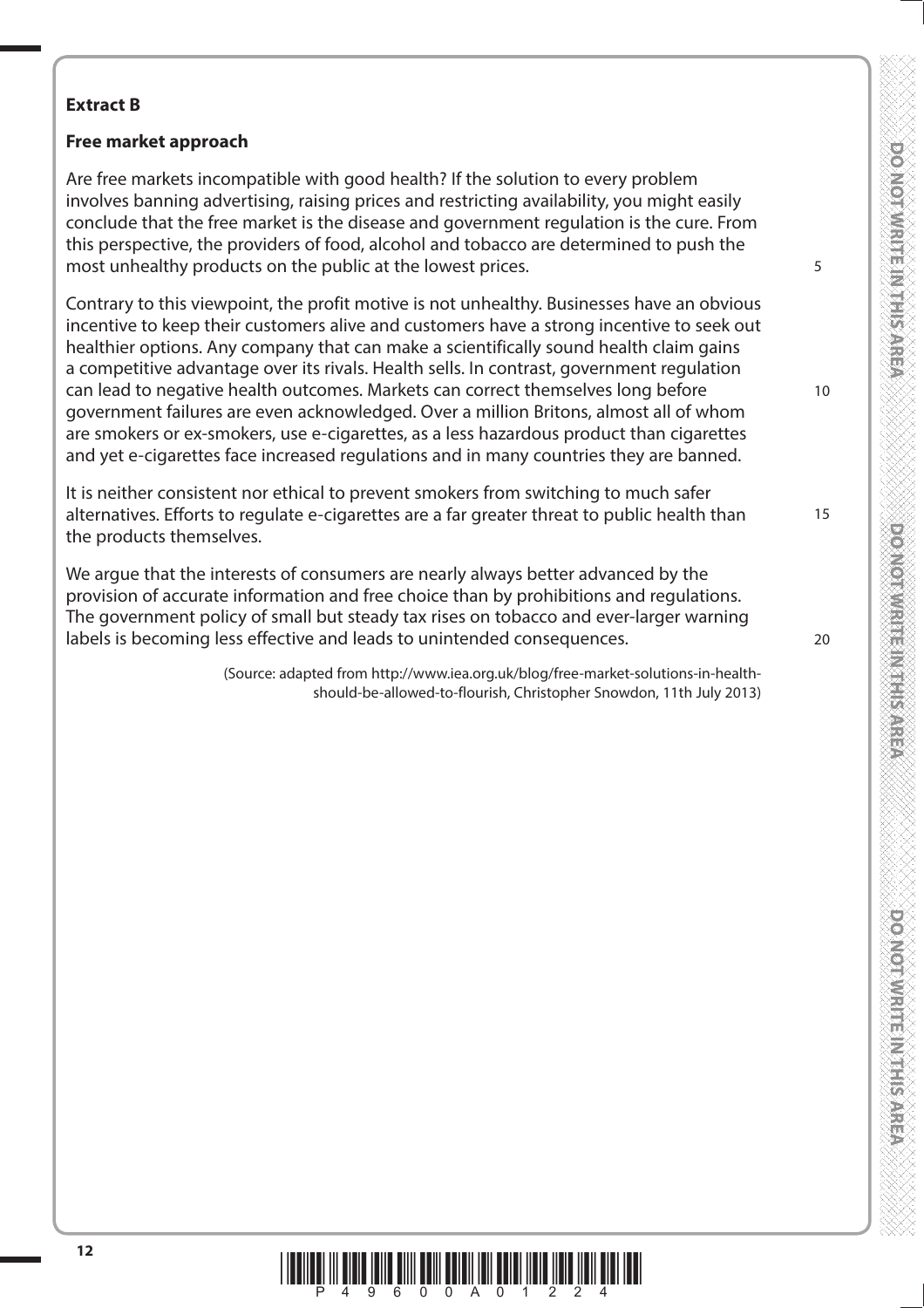# **DONOINMENT RANGER DOOMORAL RESERVED IS A FEMALE DONOI WRITEING HIS AREA**

5

10

15

20

### **Extract B**

### **Free market approach**

Are free markets incompatible with good health? If the solution to every problem involves banning advertising, raising prices and restricting availability, you might easily conclude that the free market is the disease and government regulation is the cure. From this perspective, the providers of food, alcohol and tobacco are determined to push the most unhealthy products on the public at the lowest prices.

Contrary to this viewpoint, the profit motive is not unhealthy. Businesses have an obvious incentive to keep their customers alive and customers have a strong incentive to seek out healthier options. Any company that can make a scientifically sound health claim gains a competitive advantage over its rivals. Health sells. In contrast, government regulation can lead to negative health outcomes. Markets can correct themselves long before government failures are even acknowledged. Over a million Britons, almost all of whom are smokers or ex-smokers, use e-cigarettes, as a less hazardous product than cigarettes and yet e-cigarettes face increased regulations and in many countries they are banned.

It is neither consistent nor ethical to prevent smokers from switching to much safer alternatives. Efforts to regulate e-cigarettes are a far greater threat to public health than the products themselves.

We argue that the interests of consumers are nearly always better advanced by the provision of accurate information and free choice than by prohibitions and regulations. The government policy of small but steady tax rises on tobacco and ever-larger warning labels is becoming less effective and leads to unintended consequences.

> (Source: adapted from http://www.iea.org.uk/blog/free-market-solutions-in-healthshould-be-allowed-to-flourish, Christopher Snowdon, 11th July 2013)

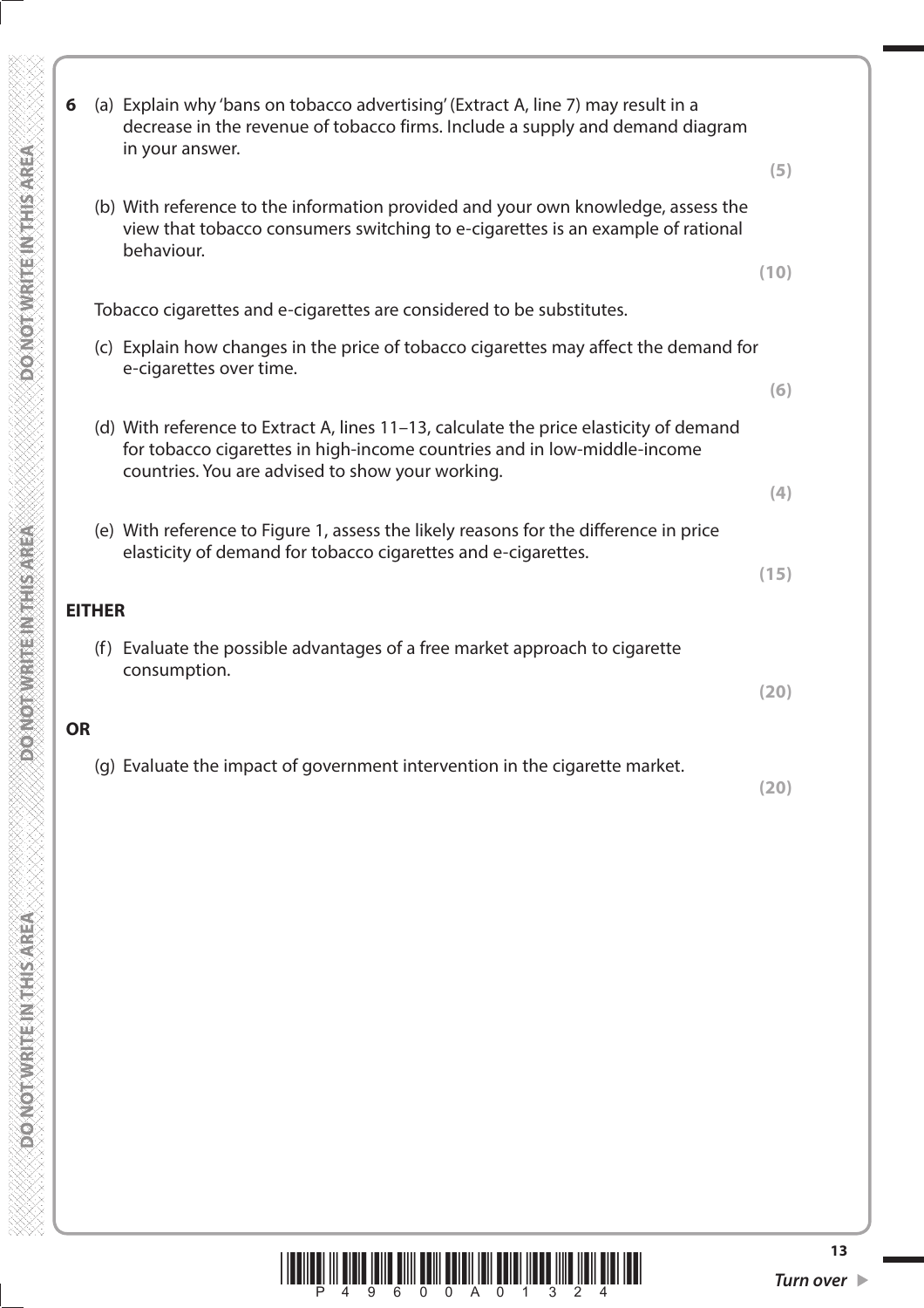| 6         |               | (a) Explain why 'bans on tobacco advertising' (Extract A, line 7) may result in a<br>decrease in the revenue of tobacco firms. Include a supply and demand diagram<br>in your answer.                                  |             |
|-----------|---------------|------------------------------------------------------------------------------------------------------------------------------------------------------------------------------------------------------------------------|-------------|
|           |               | (b) With reference to the information provided and your own knowledge, assess the<br>view that tobacco consumers switching to e-cigarettes is an example of rational<br>behaviour.                                     | (5)<br>(10) |
|           |               | Tobacco cigarettes and e-cigarettes are considered to be substitutes.                                                                                                                                                  |             |
|           |               | (c) Explain how changes in the price of tobacco cigarettes may affect the demand for<br>e-cigarettes over time.                                                                                                        |             |
|           |               |                                                                                                                                                                                                                        | (6)         |
|           |               | (d) With reference to Extract A, lines 11-13, calculate the price elasticity of demand<br>for tobacco cigarettes in high-income countries and in low-middle-income<br>countries. You are advised to show your working. |             |
|           |               |                                                                                                                                                                                                                        | (4)         |
|           |               | (e) With reference to Figure 1, assess the likely reasons for the difference in price<br>elasticity of demand for tobacco cigarettes and e-cigarettes.                                                                 | (15)        |
|           | <b>EITHER</b> |                                                                                                                                                                                                                        |             |
|           |               | (f) Evaluate the possible advantages of a free market approach to cigarette<br>consumption.                                                                                                                            |             |
|           |               |                                                                                                                                                                                                                        | (20)        |
| <b>OR</b> |               |                                                                                                                                                                                                                        |             |
|           |               | (g) Evaluate the impact of government intervention in the cigarette market.                                                                                                                                            |             |

**DONOTWRITE INTHIS AREA** 

DO NOT WRITE IN THIS AREA

DO NOT WRITE IN THIS AREA

**(20)**

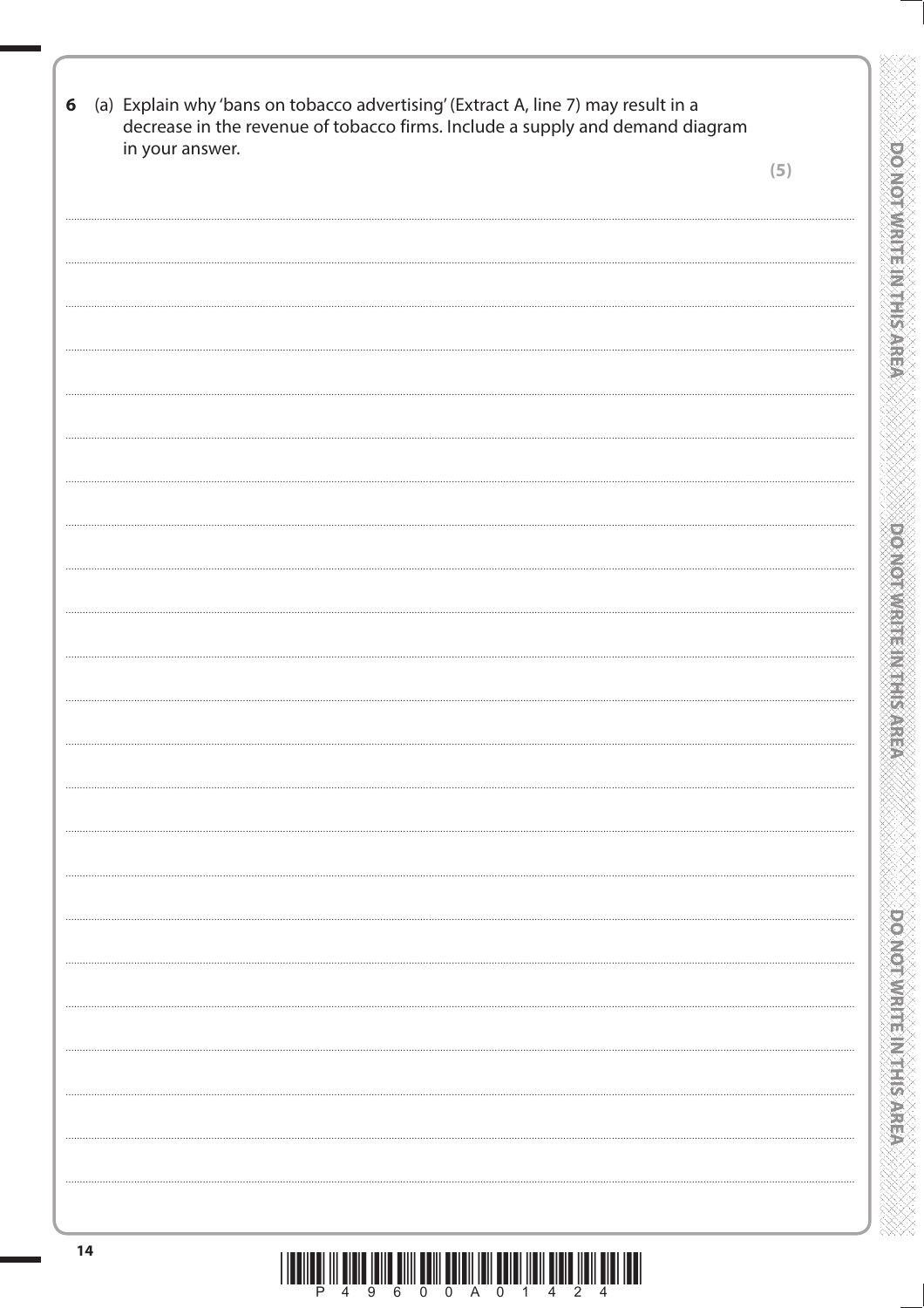| (a) Explain why 'bans on tobacco advertising' (Extract A, line 7) may result in a<br>6<br>decrease in the revenue of tobacco firms. Include a supply and demand diagram<br>in your answer. | $\overline{0}$                    |
|--------------------------------------------------------------------------------------------------------------------------------------------------------------------------------------------|-----------------------------------|
|                                                                                                                                                                                            | (5)                               |
|                                                                                                                                                                                            | NOTWRITEINTHIS                    |
|                                                                                                                                                                                            |                                   |
|                                                                                                                                                                                            |                                   |
|                                                                                                                                                                                            | 法空战                               |
|                                                                                                                                                                                            |                                   |
|                                                                                                                                                                                            |                                   |
|                                                                                                                                                                                            |                                   |
|                                                                                                                                                                                            |                                   |
|                                                                                                                                                                                            |                                   |
|                                                                                                                                                                                            |                                   |
|                                                                                                                                                                                            | <b>Allen Barbara</b>              |
|                                                                                                                                                                                            |                                   |
|                                                                                                                                                                                            |                                   |
|                                                                                                                                                                                            |                                   |
|                                                                                                                                                                                            |                                   |
|                                                                                                                                                                                            |                                   |
|                                                                                                                                                                                            |                                   |
|                                                                                                                                                                                            |                                   |
|                                                                                                                                                                                            | <b>DO NOTIVIRITE IN THIS AREA</b> |
|                                                                                                                                                                                            |                                   |
|                                                                                                                                                                                            |                                   |
|                                                                                                                                                                                            |                                   |
|                                                                                                                                                                                            |                                   |
|                                                                                                                                                                                            | .                                 |
|                                                                                                                                                                                            |                                   |
| 14                                                                                                                                                                                         |                                   |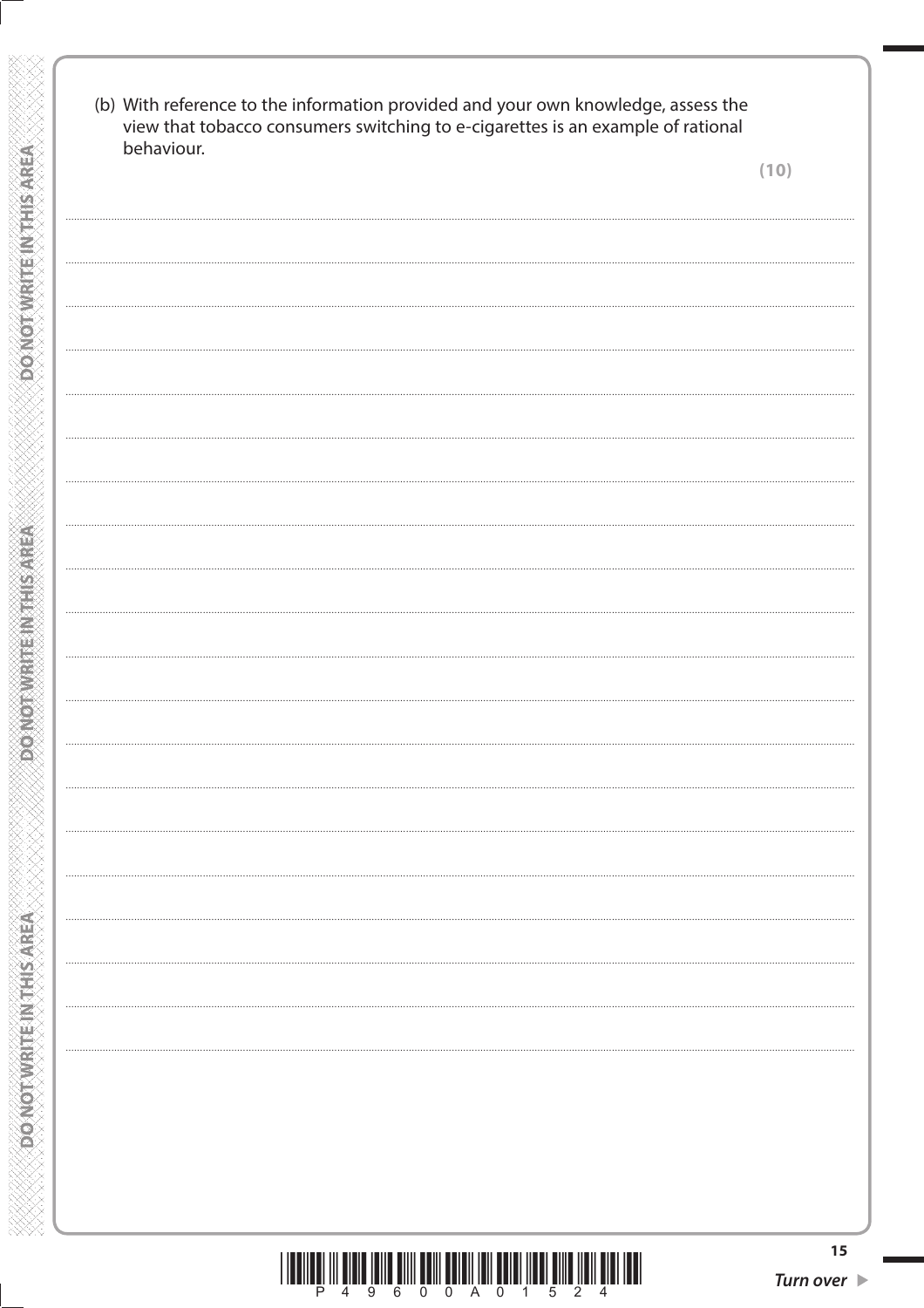| behaviour. |  | (10) |  |
|------------|--|------|--|
|            |  |      |  |
|            |  |      |  |
|            |  |      |  |
|            |  |      |  |
|            |  |      |  |
|            |  |      |  |
|            |  |      |  |
|            |  |      |  |
|            |  |      |  |
|            |  |      |  |
|            |  |      |  |
|            |  |      |  |
|            |  |      |  |
|            |  |      |  |
|            |  |      |  |
|            |  |      |  |
|            |  |      |  |
|            |  |      |  |
|            |  |      |  |
|            |  |      |  |
|            |  |      |  |
|            |  |      |  |
|            |  |      |  |
|            |  |      |  |
|            |  |      |  |
|            |  |      |  |
|            |  |      |  |

**DONOT WRITE INTHIS AREA** 

**DONOTNIRIIE:INTHISAREA** 

**RESERVED AND THE STATE AND STATE AREA** 

**ANNAN MANAN MANAN MANAN MANAN MAN**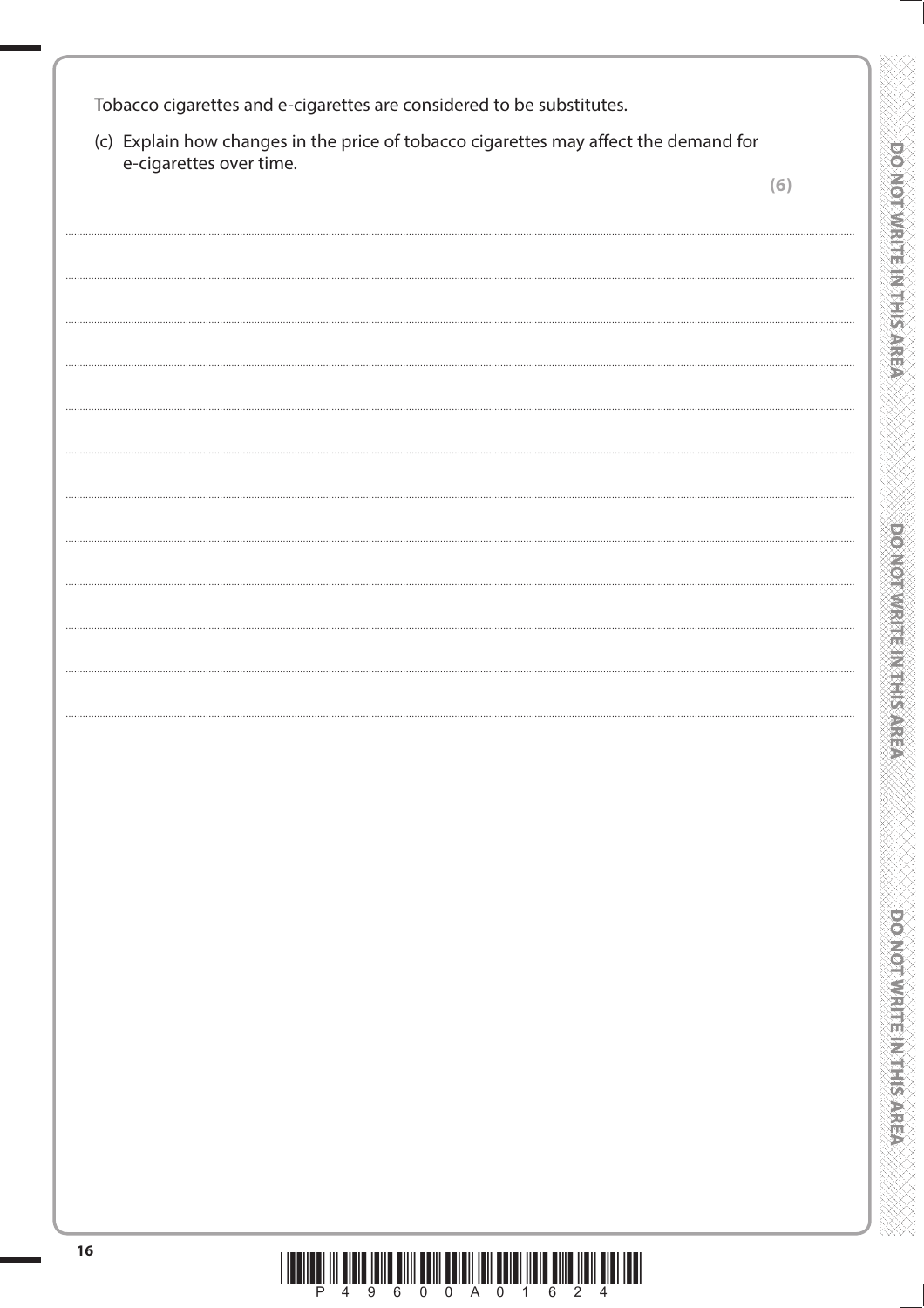(c) Explain how changes in the price of tobacco cigarettes may affect the demand for e-cigarettes over time.

| e-cigarettes over time. | (6) |
|-------------------------|-----|
|                         |     |
|                         |     |
|                         |     |
|                         |     |
|                         |     |
|                         |     |
|                         |     |
|                         |     |
|                         |     |
|                         |     |
|                         |     |
|                         |     |
|                         |     |
|                         |     |
|                         |     |
|                         |     |
|                         |     |
|                         |     |
|                         |     |
|                         |     |
|                         |     |
|                         |     |
|                         |     |
|                         |     |
|                         |     |
|                         |     |
|                         |     |
|                         |     |
|                         |     |
|                         |     |
|                         |     |
|                         |     |
|                         |     |
|                         |     |
|                         |     |
|                         |     |
|                         |     |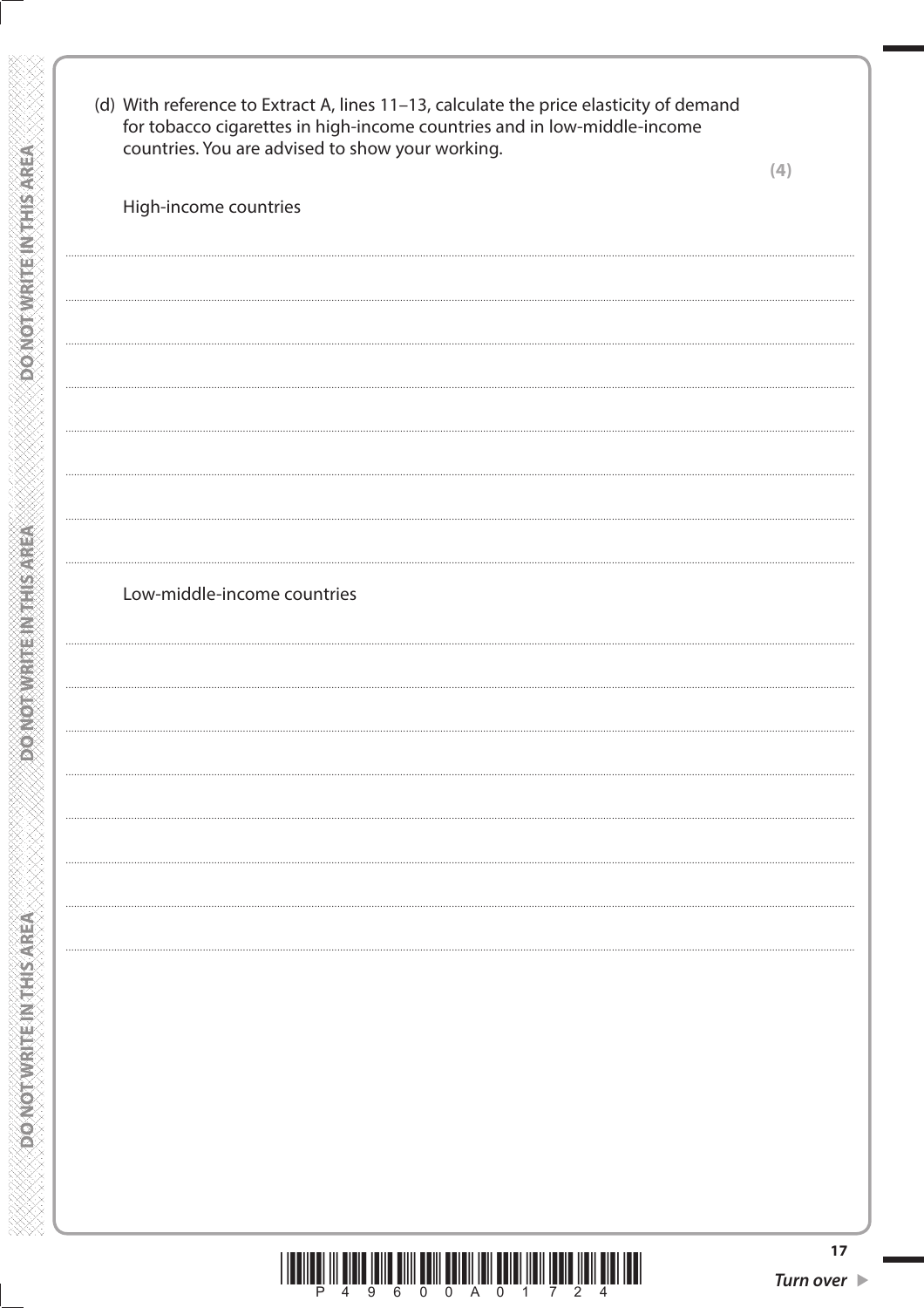|                             | countries. You are advised to show your working. | (4) |
|-----------------------------|--------------------------------------------------|-----|
| High-income countries       |                                                  |     |
|                             |                                                  |     |
|                             |                                                  |     |
|                             |                                                  |     |
|                             |                                                  |     |
|                             |                                                  |     |
|                             |                                                  |     |
|                             |                                                  |     |
|                             |                                                  |     |
| Low-middle-income countries |                                                  |     |
|                             |                                                  |     |
|                             |                                                  |     |
|                             |                                                  |     |
|                             |                                                  |     |
|                             |                                                  |     |
|                             |                                                  |     |
|                             |                                                  |     |
|                             |                                                  |     |
|                             |                                                  |     |
|                             |                                                  |     |
|                             |                                                  |     |
|                             |                                                  |     |
|                             |                                                  |     |

**DONOTWRITE IN THIS AREA** 

**DONOTNIRIEEINTHISAREA** 

**DO NOT WRITE IN THIS AREA** 

**WWW.WWWWWWWWWWWWWWWWWW** 

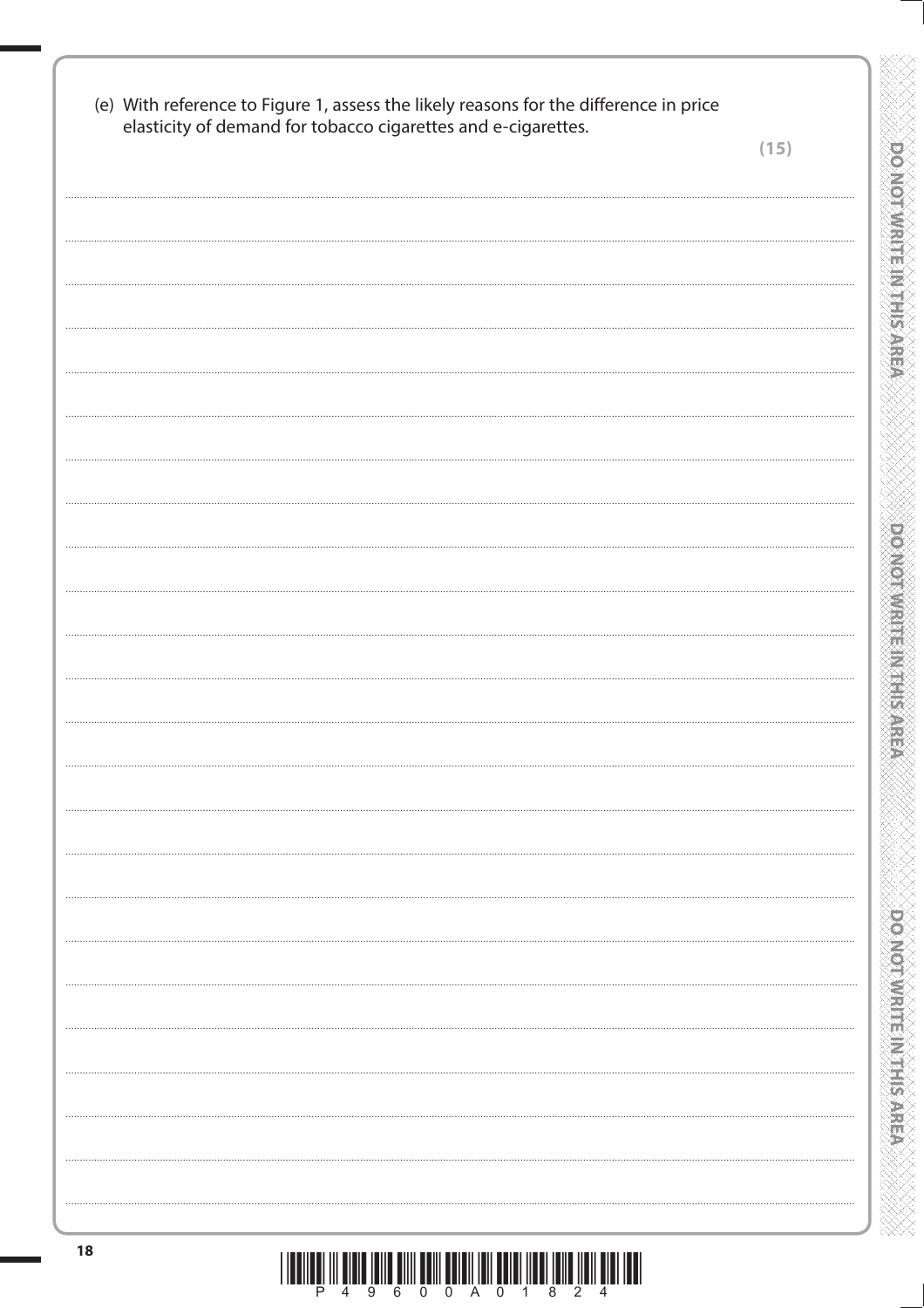| (e) With reference to Figure 1, assess the likely reasons for the difference in price<br>elasticity of demand for tobacco cigarettes and e-cigarettes. |      |
|--------------------------------------------------------------------------------------------------------------------------------------------------------|------|
|                                                                                                                                                        | (15) |
|                                                                                                                                                        |      |
|                                                                                                                                                        |      |
|                                                                                                                                                        |      |
|                                                                                                                                                        |      |
|                                                                                                                                                        |      |
|                                                                                                                                                        |      |
|                                                                                                                                                        |      |
|                                                                                                                                                        |      |
|                                                                                                                                                        |      |
|                                                                                                                                                        |      |
|                                                                                                                                                        |      |
|                                                                                                                                                        |      |
|                                                                                                                                                        |      |
|                                                                                                                                                        |      |
|                                                                                                                                                        |      |
|                                                                                                                                                        |      |
|                                                                                                                                                        |      |
|                                                                                                                                                        |      |
|                                                                                                                                                        |      |
|                                                                                                                                                        |      |
|                                                                                                                                                        |      |
|                                                                                                                                                        |      |
|                                                                                                                                                        |      |
|                                                                                                                                                        |      |
|                                                                                                                                                        |      |
|                                                                                                                                                        |      |
|                                                                                                                                                        |      |
|                                                                                                                                                        |      |
|                                                                                                                                                        |      |
|                                                                                                                                                        |      |
|                                                                                                                                                        |      |
|                                                                                                                                                        | .    |
|                                                                                                                                                        |      |
|                                                                                                                                                        |      |
|                                                                                                                                                        |      |
|                                                                                                                                                        |      |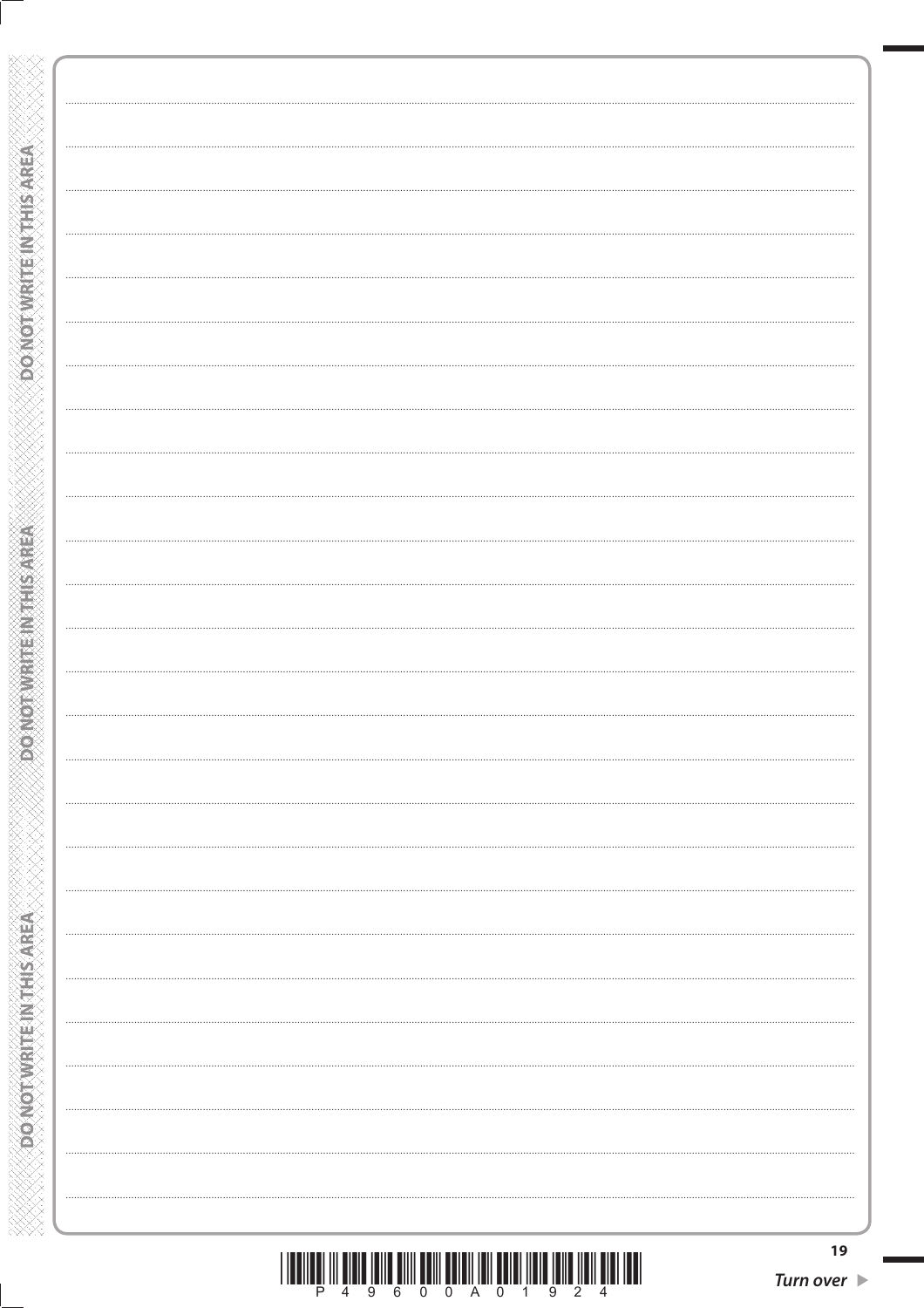| <b>DO ANOTAWRITE INSTRUSTED</b> | $\begin{minipage}{0.99\textwidth} \begin{tabular}{l} \textbf{0.99\textwidth} \begin{tabular}{l} \textbf{0.99\textwidth} \begin{tabular}{l} \textbf{0.99\textwidth} \begin{tabular}{l} \textbf{0.99\textwidth} \begin{tabular}{l} \textbf{0.99\textwidth} \begin{tabular}{l} \textbf{0.99\textwidth} \begin{tabular}{l} \textbf{0.99\textwidth} \begin{tabular}{l} \textbf{0.99\textwidth} \begin{tabular}{l} \textbf{0.99\textwidth} \begin{tabular}{l} \textbf{0.99\textwidth} \begin{tabular$ |
|---------------------------------|-------------------------------------------------------------------------------------------------------------------------------------------------------------------------------------------------------------------------------------------------------------------------------------------------------------------------------------------------------------------------------------------------------------------------------------------------------------------------------------------------|
|                                 |                                                                                                                                                                                                                                                                                                                                                                                                                                                                                                 |
|                                 |                                                                                                                                                                                                                                                                                                                                                                                                                                                                                                 |
|                                 |                                                                                                                                                                                                                                                                                                                                                                                                                                                                                                 |
|                                 |                                                                                                                                                                                                                                                                                                                                                                                                                                                                                                 |
|                                 |                                                                                                                                                                                                                                                                                                                                                                                                                                                                                                 |
|                                 |                                                                                                                                                                                                                                                                                                                                                                                                                                                                                                 |
|                                 |                                                                                                                                                                                                                                                                                                                                                                                                                                                                                                 |
|                                 |                                                                                                                                                                                                                                                                                                                                                                                                                                                                                                 |
|                                 |                                                                                                                                                                                                                                                                                                                                                                                                                                                                                                 |
|                                 |                                                                                                                                                                                                                                                                                                                                                                                                                                                                                                 |
|                                 |                                                                                                                                                                                                                                                                                                                                                                                                                                                                                                 |
|                                 |                                                                                                                                                                                                                                                                                                                                                                                                                                                                                                 |
|                                 |                                                                                                                                                                                                                                                                                                                                                                                                                                                                                                 |
|                                 |                                                                                                                                                                                                                                                                                                                                                                                                                                                                                                 |
|                                 |                                                                                                                                                                                                                                                                                                                                                                                                                                                                                                 |
|                                 |                                                                                                                                                                                                                                                                                                                                                                                                                                                                                                 |
|                                 |                                                                                                                                                                                                                                                                                                                                                                                                                                                                                                 |
|                                 |                                                                                                                                                                                                                                                                                                                                                                                                                                                                                                 |
|                                 |                                                                                                                                                                                                                                                                                                                                                                                                                                                                                                 |
|                                 |                                                                                                                                                                                                                                                                                                                                                                                                                                                                                                 |
|                                 |                                                                                                                                                                                                                                                                                                                                                                                                                                                                                                 |
|                                 |                                                                                                                                                                                                                                                                                                                                                                                                                                                                                                 |
|                                 |                                                                                                                                                                                                                                                                                                                                                                                                                                                                                                 |
|                                 |                                                                                                                                                                                                                                                                                                                                                                                                                                                                                                 |
|                                 |                                                                                                                                                                                                                                                                                                                                                                                                                                                                                                 |
|                                 |                                                                                                                                                                                                                                                                                                                                                                                                                                                                                                 |
|                                 |                                                                                                                                                                                                                                                                                                                                                                                                                                                                                                 |
|                                 |                                                                                                                                                                                                                                                                                                                                                                                                                                                                                                 |
|                                 |                                                                                                                                                                                                                                                                                                                                                                                                                                                                                                 |
|                                 |                                                                                                                                                                                                                                                                                                                                                                                                                                                                                                 |
|                                 |                                                                                                                                                                                                                                                                                                                                                                                                                                                                                                 |
|                                 |                                                                                                                                                                                                                                                                                                                                                                                                                                                                                                 |
|                                 |                                                                                                                                                                                                                                                                                                                                                                                                                                                                                                 |
|                                 |                                                                                                                                                                                                                                                                                                                                                                                                                                                                                                 |
|                                 |                                                                                                                                                                                                                                                                                                                                                                                                                                                                                                 |
|                                 |                                                                                                                                                                                                                                                                                                                                                                                                                                                                                                 |
|                                 |                                                                                                                                                                                                                                                                                                                                                                                                                                                                                                 |
|                                 |                                                                                                                                                                                                                                                                                                                                                                                                                                                                                                 |
|                                 |                                                                                                                                                                                                                                                                                                                                                                                                                                                                                                 |
|                                 |                                                                                                                                                                                                                                                                                                                                                                                                                                                                                                 |
|                                 |                                                                                                                                                                                                                                                                                                                                                                                                                                                                                                 |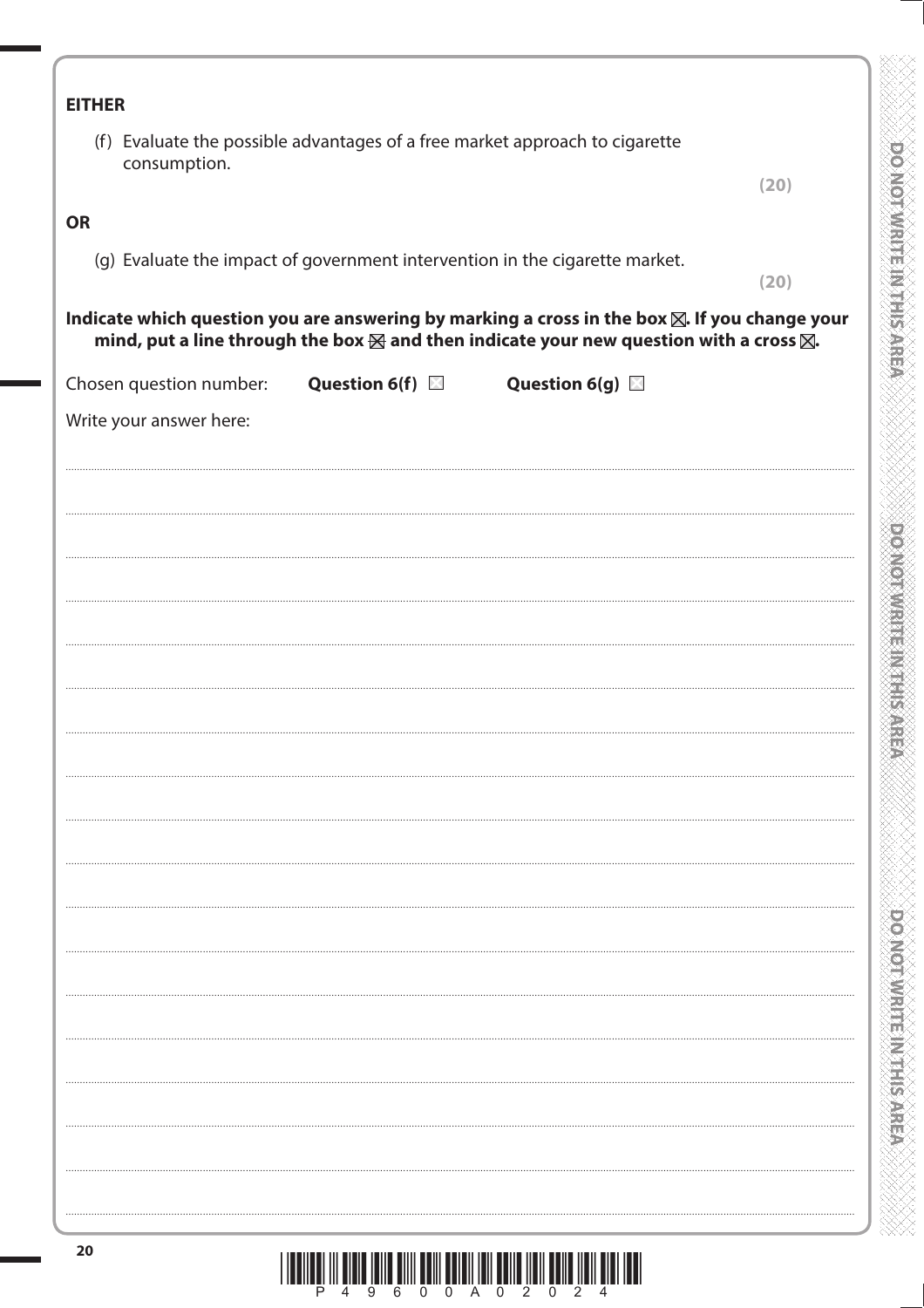| <b>EITHER</b>                                                                                            |                                  |                                                                                                             |                             |
|----------------------------------------------------------------------------------------------------------|----------------------------------|-------------------------------------------------------------------------------------------------------------|-----------------------------|
| (f) Evaluate the possible advantages of a free market approach to cigarette<br>consumption.              |                                  |                                                                                                             |                             |
| <b>OR</b>                                                                                                |                                  |                                                                                                             | (20)                        |
|                                                                                                          |                                  | (g) Evaluate the impact of government intervention in the cigarette market.                                 | (20)                        |
| Indicate which question you are answering by marking a cross in the box $\boxtimes$ . If you change your |                                  | mind, put a line through the box $\boxtimes$ and then indicate your new question with a cross $\boxtimes$ . | <b>DOMORWER HAVE READER</b> |
| Chosen question number:                                                                                  | <b>Question 6(f)</b> $\boxtimes$ | Question $6(g)$                                                                                             |                             |
| Write your answer here:                                                                                  |                                  |                                                                                                             |                             |
|                                                                                                          |                                  |                                                                                                             |                             |
|                                                                                                          |                                  |                                                                                                             |                             |
|                                                                                                          |                                  |                                                                                                             | <b>PONGRAPH AND STRAIN</b>  |
|                                                                                                          |                                  |                                                                                                             |                             |
|                                                                                                          |                                  |                                                                                                             |                             |
|                                                                                                          |                                  |                                                                                                             |                             |
|                                                                                                          |                                  |                                                                                                             |                             |
|                                                                                                          |                                  |                                                                                                             |                             |
|                                                                                                          |                                  |                                                                                                             |                             |
|                                                                                                          |                                  |                                                                                                             |                             |
|                                                                                                          |                                  |                                                                                                             |                             |
|                                                                                                          |                                  |                                                                                                             |                             |
|                                                                                                          |                                  |                                                                                                             |                             |
|                                                                                                          |                                  |                                                                                                             |                             |
|                                                                                                          |                                  |                                                                                                             |                             |
|                                                                                                          |                                  |                                                                                                             | <b>DONOIMRELVELSARE</b>     |
|                                                                                                          |                                  |                                                                                                             |                             |
|                                                                                                          |                                  |                                                                                                             |                             |
|                                                                                                          |                                  |                                                                                                             |                             |

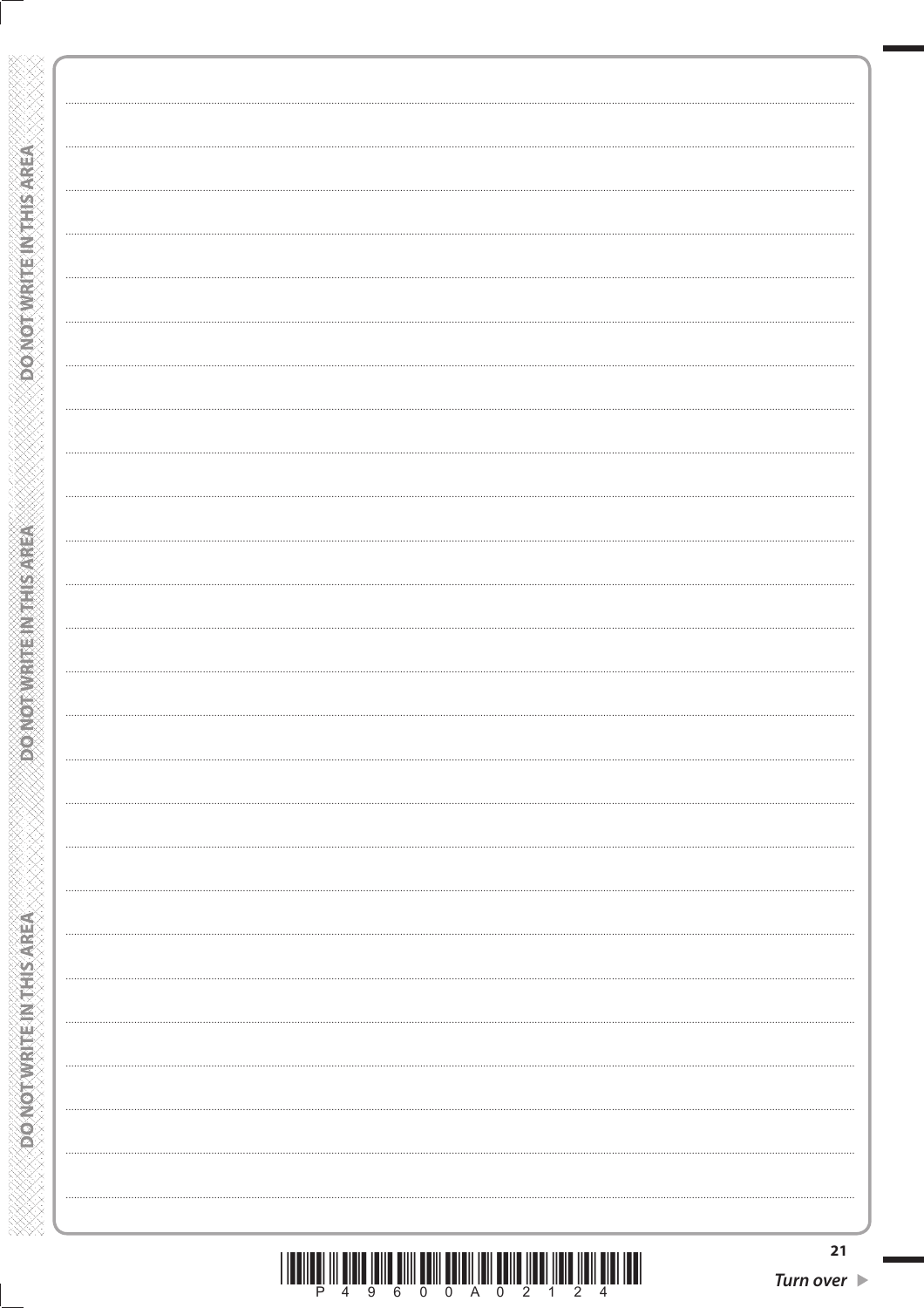| <b>DO ANOTAMPITE IN THIS AREA</b> |                                                                                                                                                                                                                                                                                                                                                                                                                                                                                                 |  |
|-----------------------------------|-------------------------------------------------------------------------------------------------------------------------------------------------------------------------------------------------------------------------------------------------------------------------------------------------------------------------------------------------------------------------------------------------------------------------------------------------------------------------------------------------|--|
|                                   |                                                                                                                                                                                                                                                                                                                                                                                                                                                                                                 |  |
|                                   |                                                                                                                                                                                                                                                                                                                                                                                                                                                                                                 |  |
|                                   |                                                                                                                                                                                                                                                                                                                                                                                                                                                                                                 |  |
|                                   |                                                                                                                                                                                                                                                                                                                                                                                                                                                                                                 |  |
|                                   |                                                                                                                                                                                                                                                                                                                                                                                                                                                                                                 |  |
|                                   |                                                                                                                                                                                                                                                                                                                                                                                                                                                                                                 |  |
|                                   |                                                                                                                                                                                                                                                                                                                                                                                                                                                                                                 |  |
|                                   |                                                                                                                                                                                                                                                                                                                                                                                                                                                                                                 |  |
|                                   |                                                                                                                                                                                                                                                                                                                                                                                                                                                                                                 |  |
|                                   |                                                                                                                                                                                                                                                                                                                                                                                                                                                                                                 |  |
|                                   |                                                                                                                                                                                                                                                                                                                                                                                                                                                                                                 |  |
|                                   |                                                                                                                                                                                                                                                                                                                                                                                                                                                                                                 |  |
|                                   |                                                                                                                                                                                                                                                                                                                                                                                                                                                                                                 |  |
|                                   |                                                                                                                                                                                                                                                                                                                                                                                                                                                                                                 |  |
|                                   |                                                                                                                                                                                                                                                                                                                                                                                                                                                                                                 |  |
|                                   |                                                                                                                                                                                                                                                                                                                                                                                                                                                                                                 |  |
|                                   |                                                                                                                                                                                                                                                                                                                                                                                                                                                                                                 |  |
|                                   |                                                                                                                                                                                                                                                                                                                                                                                                                                                                                                 |  |
|                                   |                                                                                                                                                                                                                                                                                                                                                                                                                                                                                                 |  |
|                                   |                                                                                                                                                                                                                                                                                                                                                                                                                                                                                                 |  |
|                                   |                                                                                                                                                                                                                                                                                                                                                                                                                                                                                                 |  |
|                                   |                                                                                                                                                                                                                                                                                                                                                                                                                                                                                                 |  |
|                                   |                                                                                                                                                                                                                                                                                                                                                                                                                                                                                                 |  |
|                                   |                                                                                                                                                                                                                                                                                                                                                                                                                                                                                                 |  |
|                                   |                                                                                                                                                                                                                                                                                                                                                                                                                                                                                                 |  |
|                                   |                                                                                                                                                                                                                                                                                                                                                                                                                                                                                                 |  |
|                                   |                                                                                                                                                                                                                                                                                                                                                                                                                                                                                                 |  |
|                                   |                                                                                                                                                                                                                                                                                                                                                                                                                                                                                                 |  |
|                                   |                                                                                                                                                                                                                                                                                                                                                                                                                                                                                                 |  |
|                                   |                                                                                                                                                                                                                                                                                                                                                                                                                                                                                                 |  |
|                                   |                                                                                                                                                                                                                                                                                                                                                                                                                                                                                                 |  |
| ø                                 |                                                                                                                                                                                                                                                                                                                                                                                                                                                                                                 |  |
|                                   |                                                                                                                                                                                                                                                                                                                                                                                                                                                                                                 |  |
|                                   |                                                                                                                                                                                                                                                                                                                                                                                                                                                                                                 |  |
|                                   |                                                                                                                                                                                                                                                                                                                                                                                                                                                                                                 |  |
|                                   |                                                                                                                                                                                                                                                                                                                                                                                                                                                                                                 |  |
|                                   |                                                                                                                                                                                                                                                                                                                                                                                                                                                                                                 |  |
|                                   |                                                                                                                                                                                                                                                                                                                                                                                                                                                                                                 |  |
|                                   |                                                                                                                                                                                                                                                                                                                                                                                                                                                                                                 |  |
|                                   |                                                                                                                                                                                                                                                                                                                                                                                                                                                                                                 |  |
|                                   |                                                                                                                                                                                                                                                                                                                                                                                                                                                                                                 |  |
|                                   |                                                                                                                                                                                                                                                                                                                                                                                                                                                                                                 |  |
|                                   |                                                                                                                                                                                                                                                                                                                                                                                                                                                                                                 |  |
|                                   |                                                                                                                                                                                                                                                                                                                                                                                                                                                                                                 |  |
|                                   |                                                                                                                                                                                                                                                                                                                                                                                                                                                                                                 |  |
|                                   |                                                                                                                                                                                                                                                                                                                                                                                                                                                                                                 |  |
|                                   |                                                                                                                                                                                                                                                                                                                                                                                                                                                                                                 |  |
|                                   | $\begin{minipage}{0.99\textwidth} \begin{tabular}{l} \textbf{0.99\textwidth} \begin{tabular}{l} \textbf{0.99\textwidth} \begin{tabular}{l} \textbf{0.99\textwidth} \begin{tabular}{l} \textbf{0.99\textwidth} \begin{tabular}{l} \textbf{0.99\textwidth} \begin{tabular}{l} \textbf{0.99\textwidth} \begin{tabular}{l} \textbf{0.99\textwidth} \begin{tabular}{l} \textbf{0.99\textwidth} \begin{tabular}{l} \textbf{0.99\textwidth} \begin{tabular}{l} \textbf{0.99\textwidth} \begin{tabular$ |  |
|                                   |                                                                                                                                                                                                                                                                                                                                                                                                                                                                                                 |  |
|                                   |                                                                                                                                                                                                                                                                                                                                                                                                                                                                                                 |  |
| <b>DO NOT WRITEIN THIS AREA</b>   |                                                                                                                                                                                                                                                                                                                                                                                                                                                                                                 |  |
|                                   |                                                                                                                                                                                                                                                                                                                                                                                                                                                                                                 |  |
|                                   |                                                                                                                                                                                                                                                                                                                                                                                                                                                                                                 |  |
|                                   |                                                                                                                                                                                                                                                                                                                                                                                                                                                                                                 |  |
|                                   |                                                                                                                                                                                                                                                                                                                                                                                                                                                                                                 |  |
|                                   |                                                                                                                                                                                                                                                                                                                                                                                                                                                                                                 |  |
|                                   |                                                                                                                                                                                                                                                                                                                                                                                                                                                                                                 |  |
|                                   | <br>.                                                                                                                                                                                                                                                                                                                                                                                                                                                                                           |  |
|                                   |                                                                                                                                                                                                                                                                                                                                                                                                                                                                                                 |  |
|                                   |                                                                                                                                                                                                                                                                                                                                                                                                                                                                                                 |  |
|                                   |                                                                                                                                                                                                                                                                                                                                                                                                                                                                                                 |  |

 $\begin{array}{c} \text{if} \ \text{if} \ \text{if} \ \text{if} \ \text{if} \ \text{if} \ \text{if} \ \text{if} \ \text{if} \ \text{if} \ \text{if} \ \text{if} \ \text{if} \ \text{if} \ \text{if} \ \text{if} \ \text{if} \ \text{if} \ \text{if} \ \text{if} \ \text{if} \ \text{if} \ \text{if} \ \text{if} \ \text{if} \ \text{if} \ \text{if} \ \text{if} \ \text{if} \ \text{if} \ \text{if} \ \text{if} \ \text{if} \ \text{if} \ \text{if} \ \text{$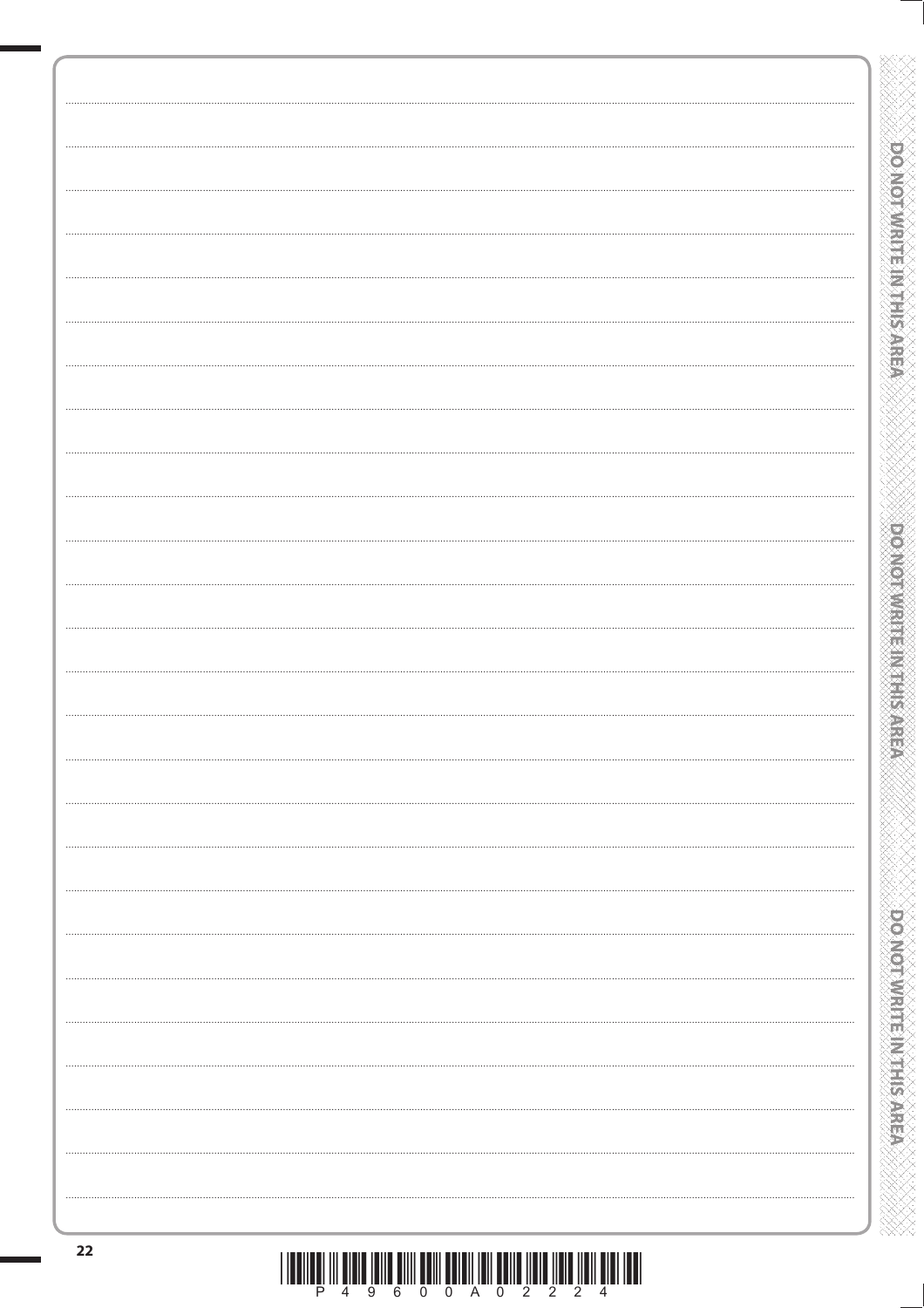|    |                                                                                                       | <b>DOMOTAWREIS AREA AREA</b> |
|----|-------------------------------------------------------------------------------------------------------|------------------------------|
|    |                                                                                                       |                              |
|    |                                                                                                       |                              |
|    |                                                                                                       |                              |
|    |                                                                                                       |                              |
|    |                                                                                                       |                              |
|    |                                                                                                       |                              |
|    |                                                                                                       |                              |
|    |                                                                                                       |                              |
|    |                                                                                                       |                              |
|    |                                                                                                       |                              |
|    |                                                                                                       |                              |
|    |                                                                                                       |                              |
|    |                                                                                                       | <b>PONGRAPH PROTECTIONS</b>  |
|    |                                                                                                       |                              |
|    |                                                                                                       |                              |
|    |                                                                                                       |                              |
|    |                                                                                                       |                              |
|    |                                                                                                       |                              |
|    |                                                                                                       |                              |
|    |                                                                                                       |                              |
|    |                                                                                                       |                              |
|    |                                                                                                       |                              |
|    |                                                                                                       |                              |
|    |                                                                                                       |                              |
|    |                                                                                                       |                              |
|    |                                                                                                       |                              |
|    |                                                                                                       |                              |
|    |                                                                                                       |                              |
|    |                                                                                                       | <b>PO NOTWRITE MITHSARE</b>  |
|    |                                                                                                       |                              |
|    |                                                                                                       |                              |
|    |                                                                                                       |                              |
| 22 |                                                                                                       |                              |
|    | 0<br>9<br>6<br>$\mathbf 0$<br>P<br>0<br>$\mathbf{2}^{\prime}$<br>$\mathbf{2}$<br>$\mathbf{2}^{\circ}$ |                              |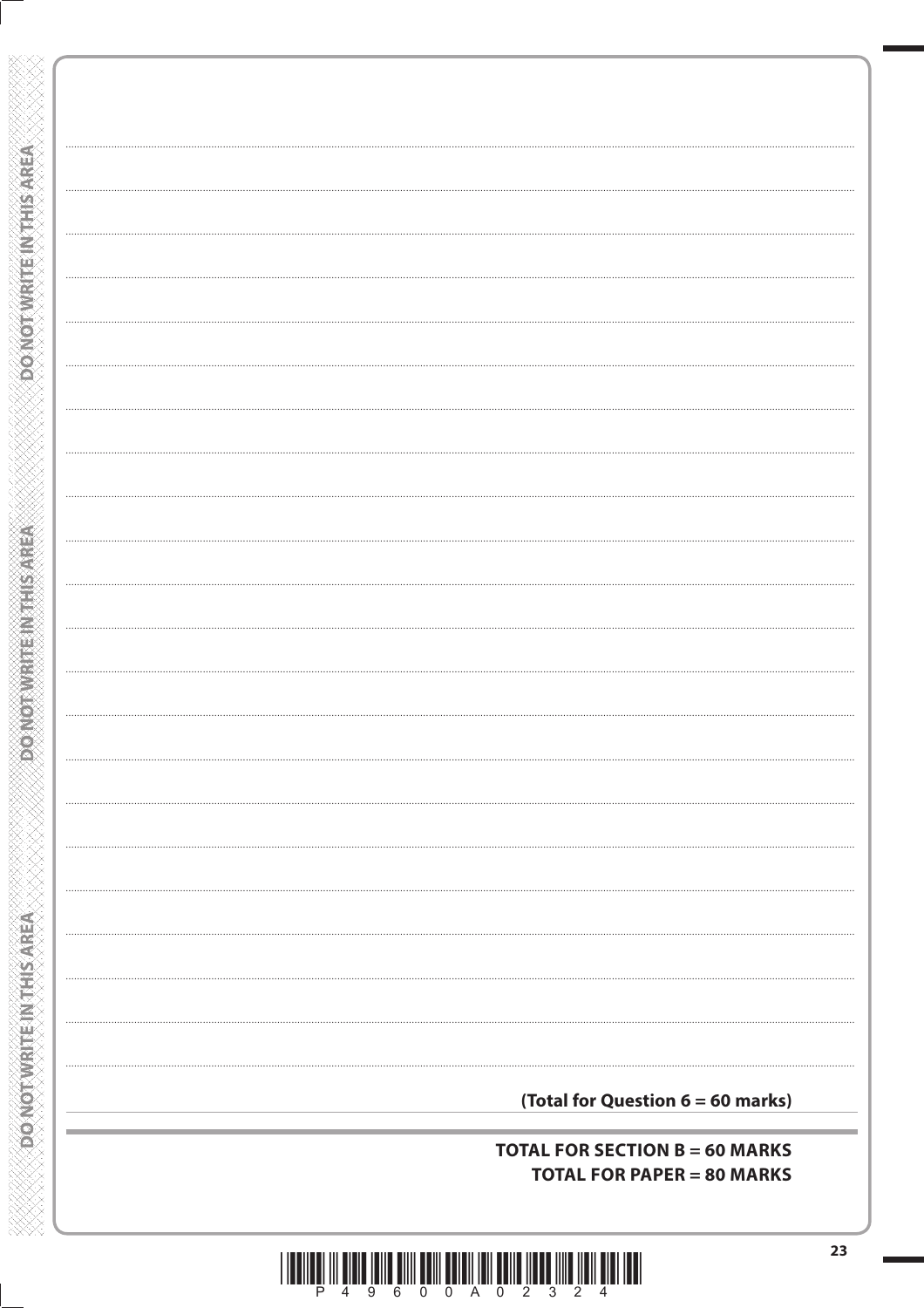| (Total for Question 6 = 60 marks)     |
|---------------------------------------|
|                                       |
|                                       |
| <b>TOTAL FOR SECTION B = 60 MARKS</b> |
|                                       |
| <b>TOTAL FOR PAPER = 80 MARKS</b>     |
|                                       |